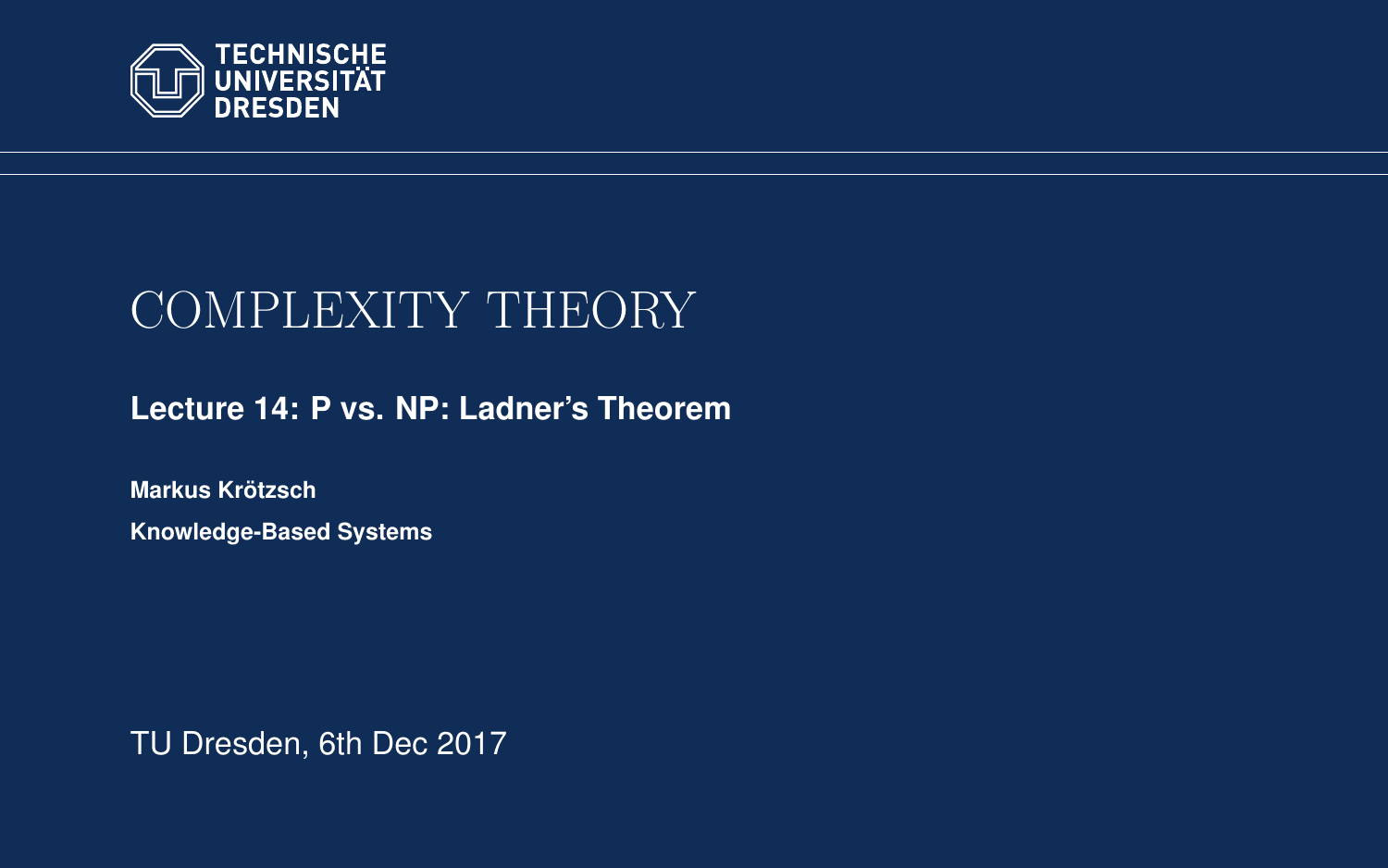<span id="page-0-0"></span>

# COMPLEXITY THEORY

**[Lecture 14: P vs. NP: Ladner's Theorem](https://iccl.inf.tu-dresden.de/web/Complexity_Theory_(WS2017/18))**

**[Markus Krotzsch](https://iccl.inf.tu-dresden.de/web/Markus_Kr%C3%B6tzsch/en) ¨ Knowledge-Based Systems**

TU Dresden, 6th Dec 2017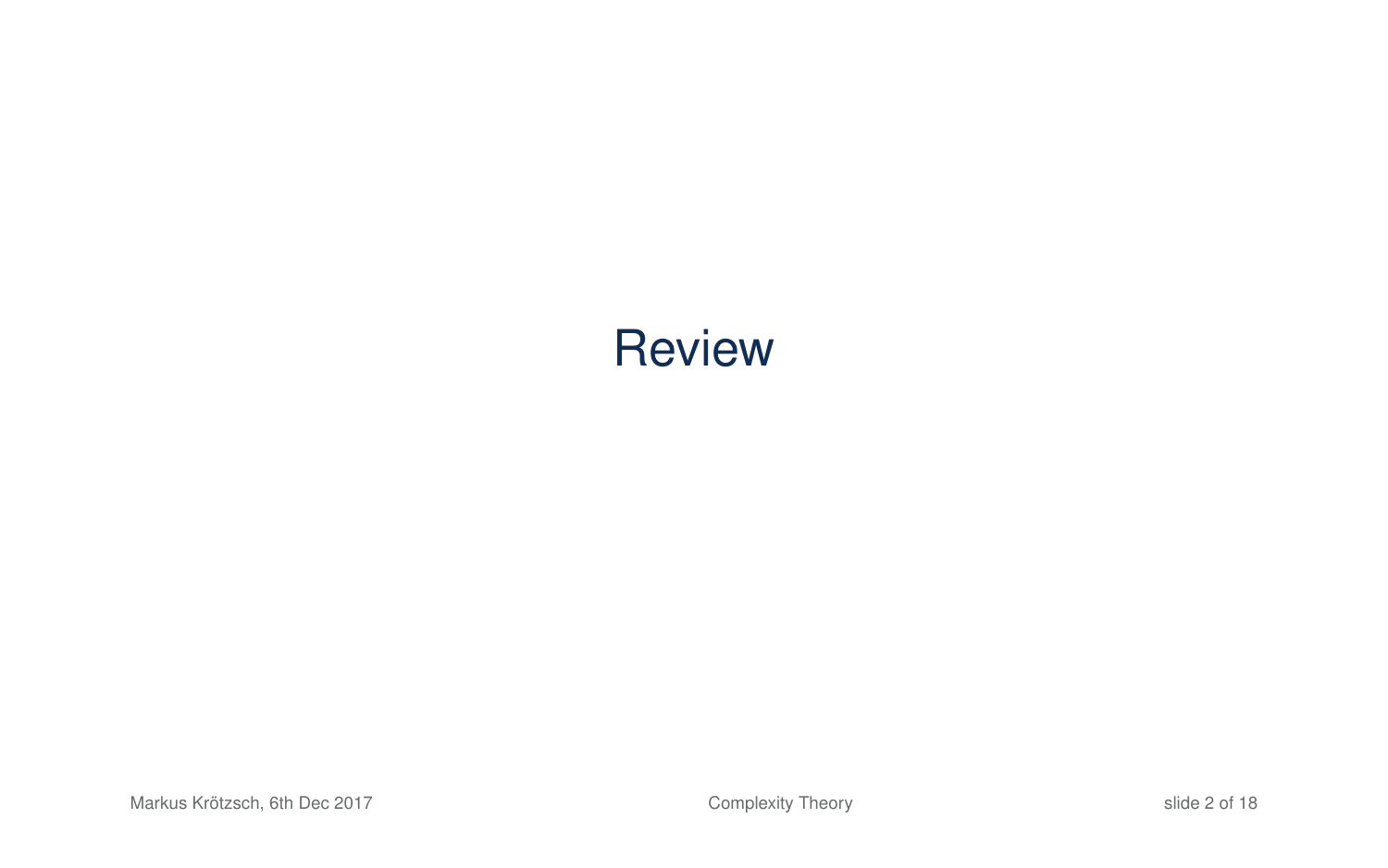# **Review**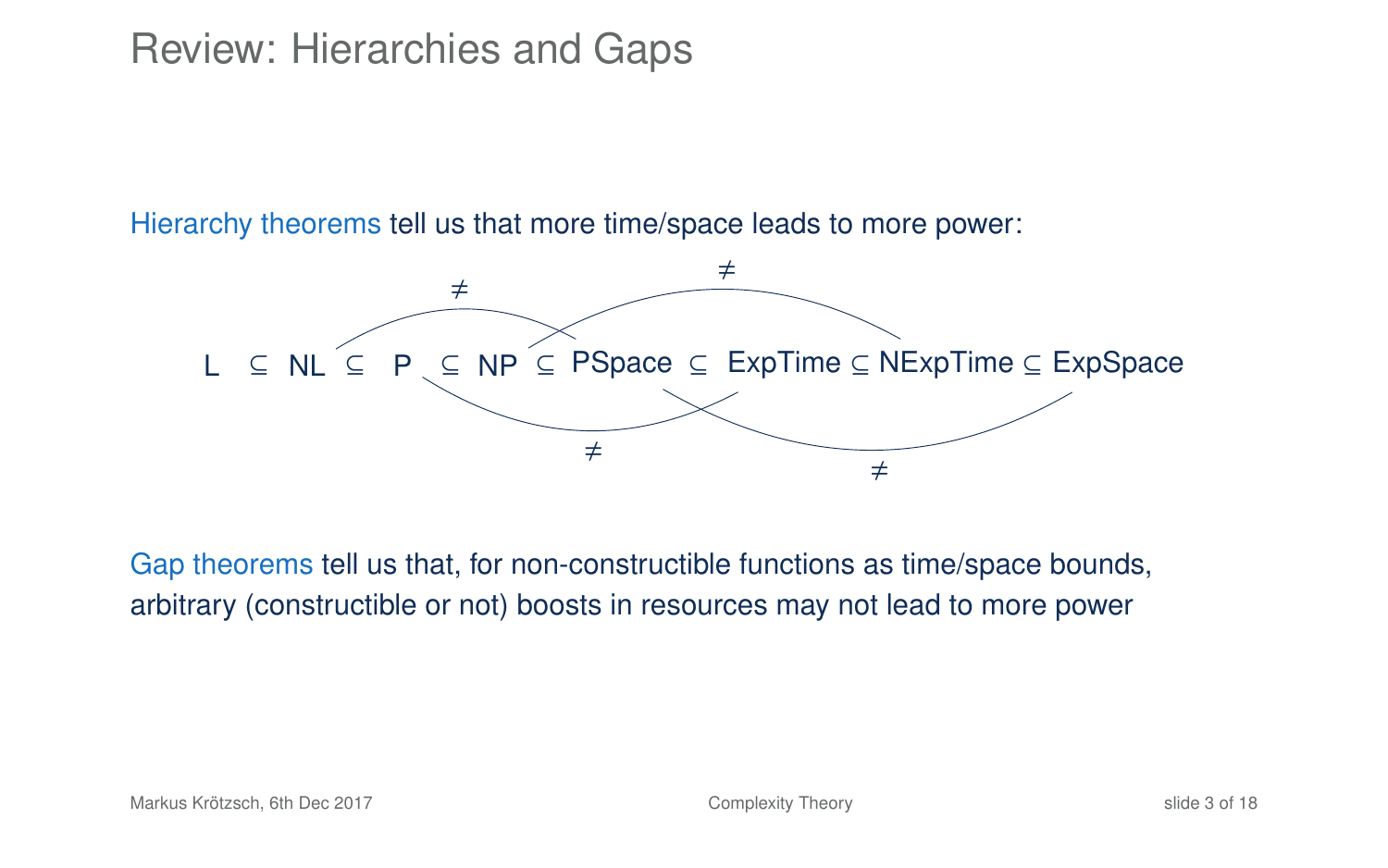### Review: Hierarchies and Gaps

Hierarchy theorems tell us that more time/space leads to more power:



Gap theorems tell us that, for non-constructible functions as time/space bounds, arbitrary (constructible or not) boosts in resources may not lead to more power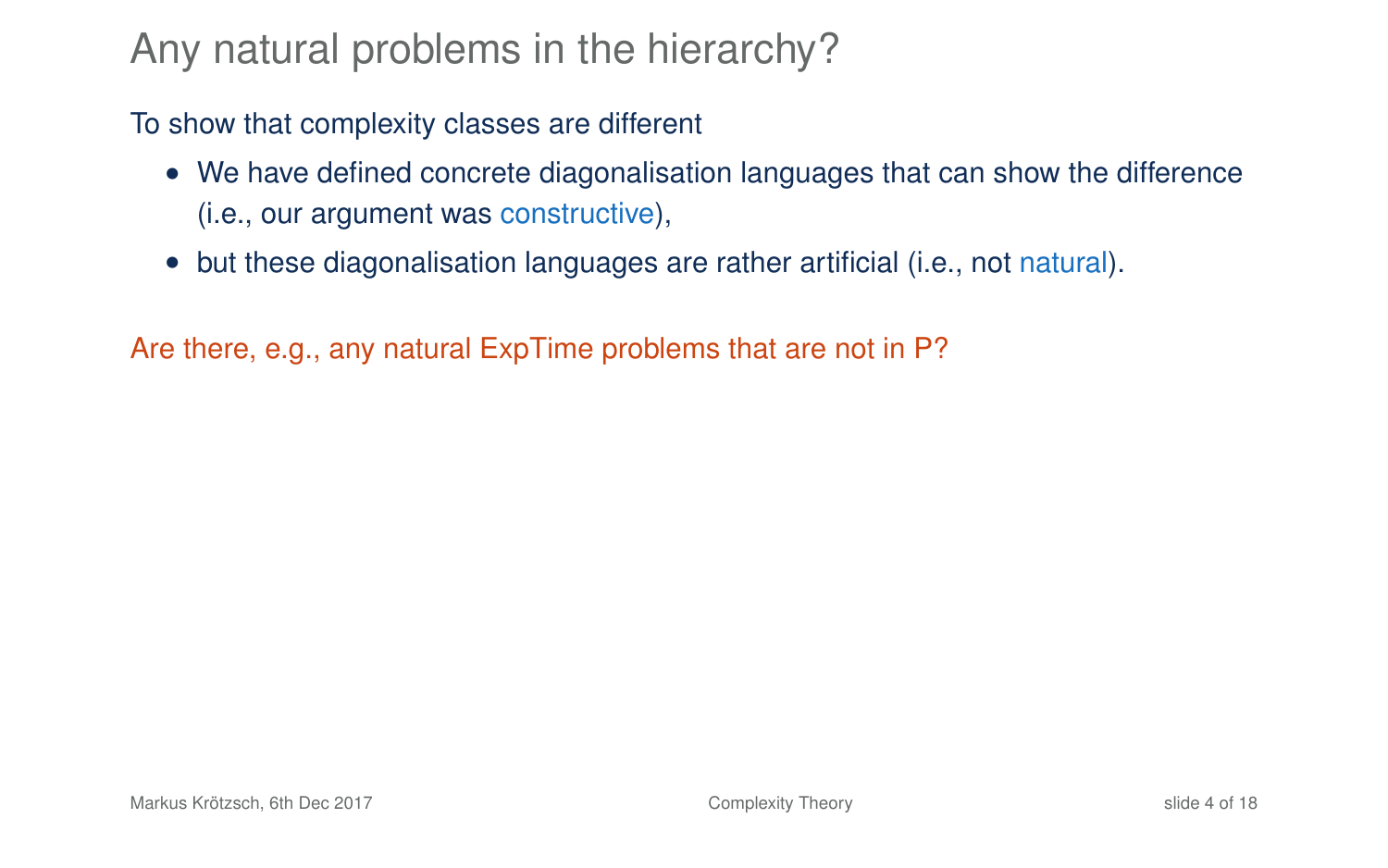## Any natural problems in the hierarchy?

To show that complexity classes are different

- We have defined concrete diagonalisation languages that can show the difference (i.e., our argument was constructive),
- but these diagonalisation languages are rather artificial (i.e., not natural).

Are there, e.g., any natural ExpTime problems that are not in P?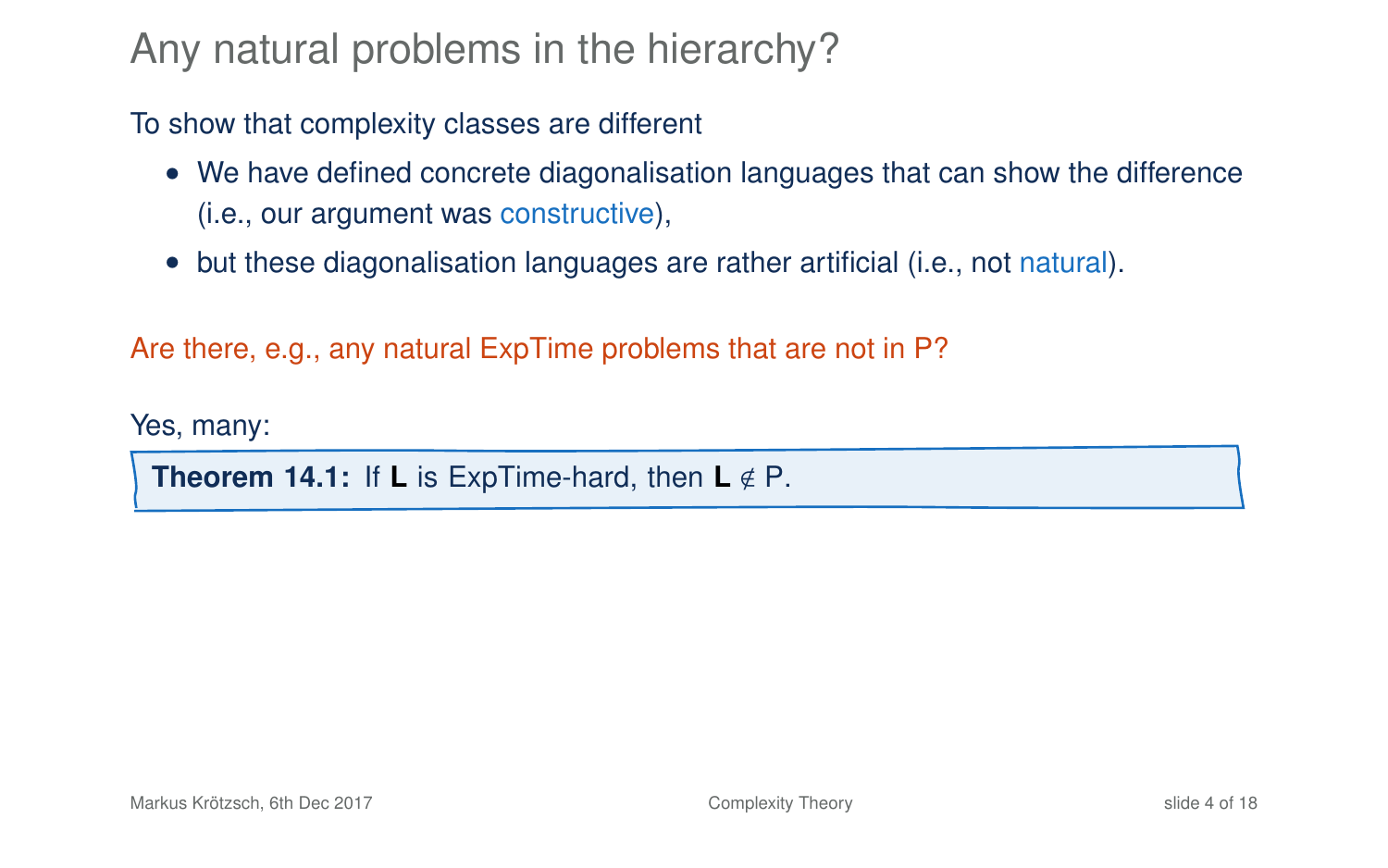### Any natural problems in the hierarchy?

To show that complexity classes are different

- We have defined concrete diagonalisation languages that can show the difference (i.e., our argument was constructive),
- but these diagonalisation languages are rather artificial (i.e., not natural).

Are there, e.g., any natural ExpTime problems that are not in P?

Yes, many:

**Theorem 14.1:** If **L** is ExpTime-hard, then  $L \notin P$ .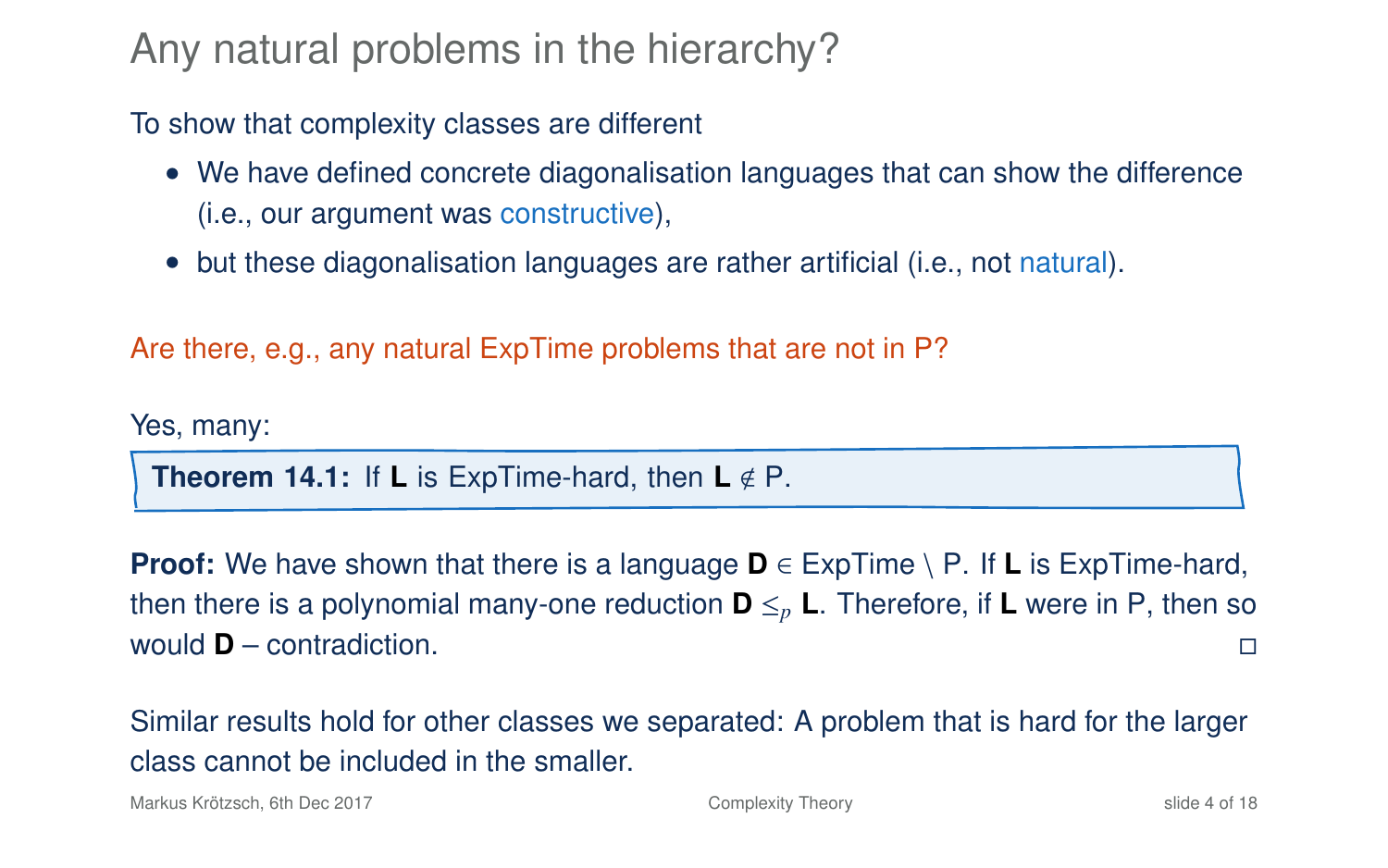### Any natural problems in the hierarchy?

To show that complexity classes are different

- We have defined concrete diagonalisation languages that can show the difference (i.e., our argument was constructive),
- but these diagonalisation languages are rather artificial (i.e., not natural).

Are there, e.g., any natural ExpTime problems that are not in P?

Yes, many:

**Theorem 14.1:** If **L** is ExpTime-hard, then  $L \notin P$ .

**Proof:** We have shown that there is a language  $\mathbf{D} \in \text{ExpTime} \setminus P$ . If **L** is ExpTime-hard, then there is a polynomial many-one reduction  $\mathbf{D} \leq_{p} \mathbf{L}$ . Therefore, if **L** were in P, then so would **D** – contradiction.

Similar results hold for other classes we separated: A problem that is hard for the larger class cannot be included in the smaller.

Markus Krötzsch, 6th Dec 2017 **[Complexity Theory](#page-0-0)** Complexity Theory slide 4 of 18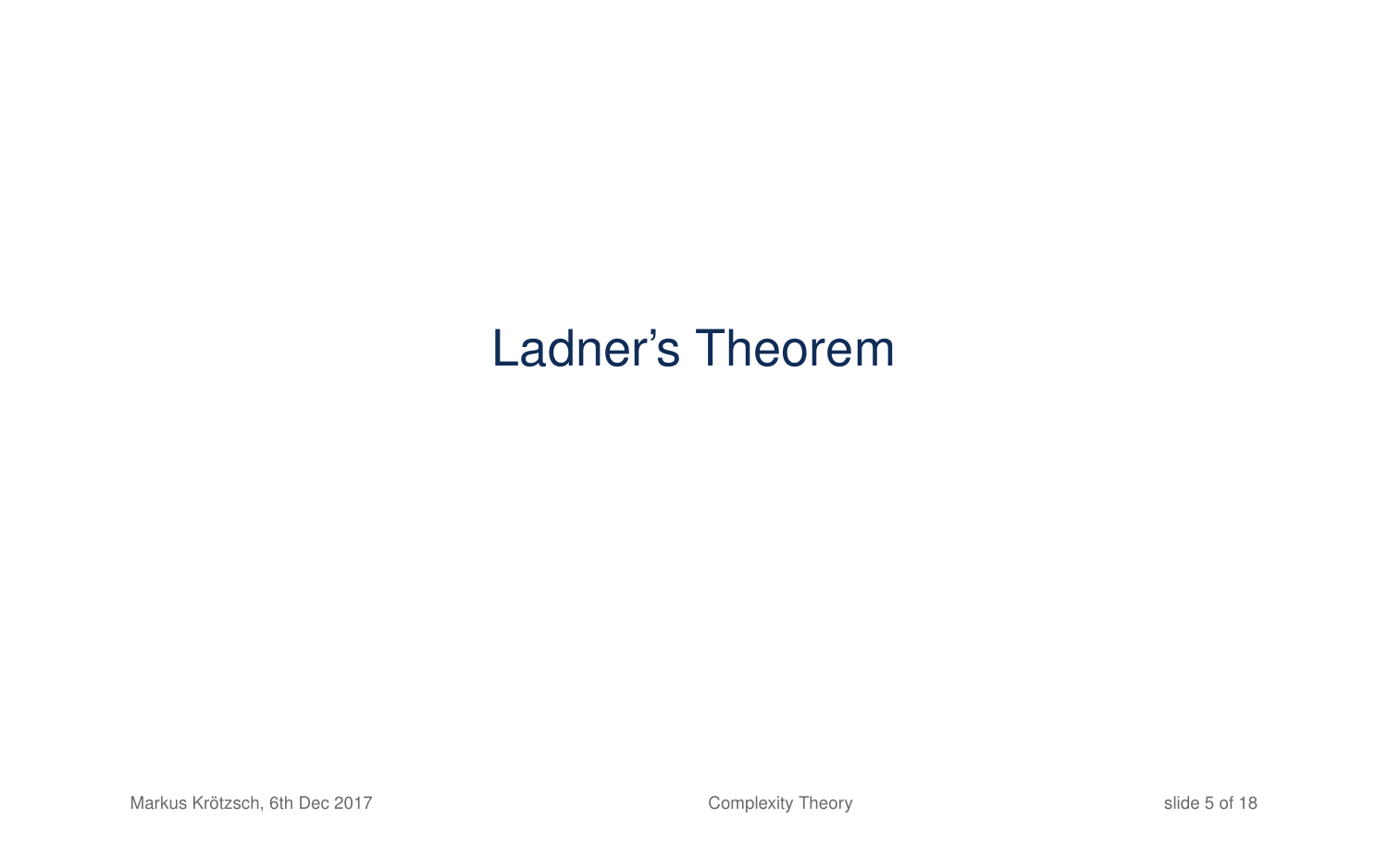# Ladner's Theorem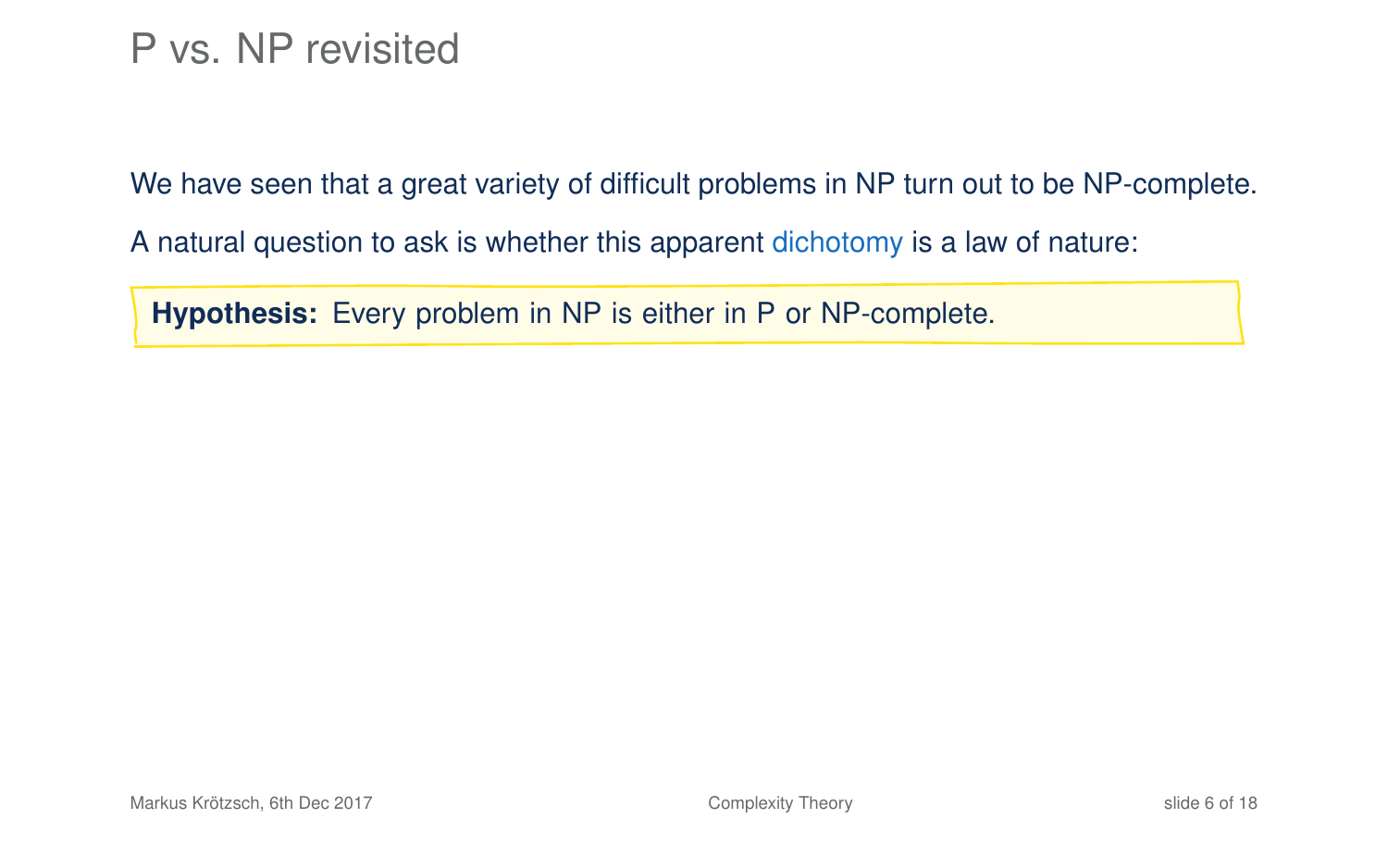### P vs. NP revisited

We have seen that a great variety of difficult problems in NP turn out to be NP-complete.

A natural question to ask is whether this apparent dichotomy is a law of nature:

<span id="page-7-0"></span>**Hypothesis:** Every problem in NP is either in P or NP-complete.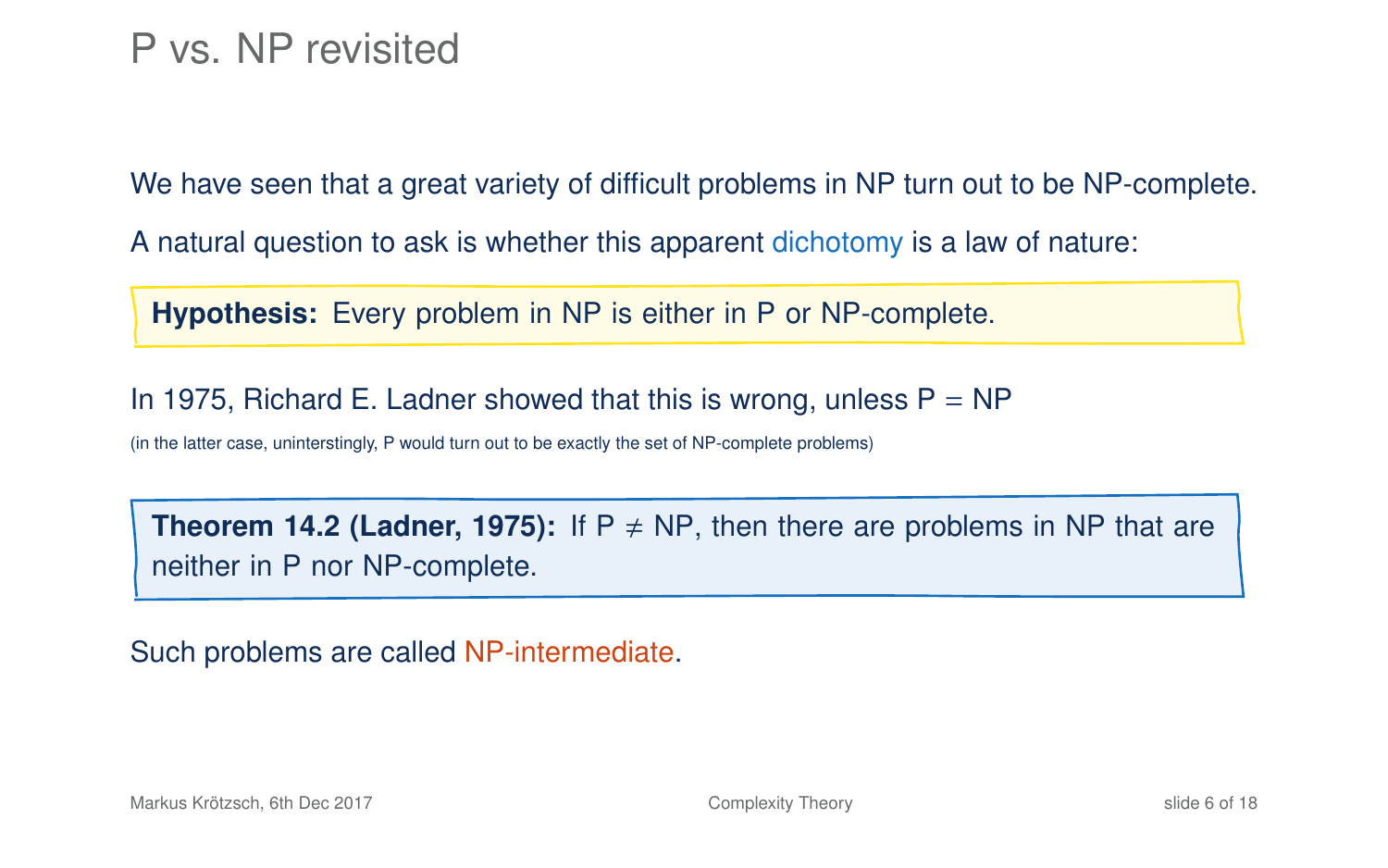We have seen that a great variety of difficult problems in NP turn out to be NP-complete.

A natural question to ask is whether this apparent dichotomy is a law of nature:

**Hypothesis:** Every problem in NP is either in P or NP-complete.

In 1975, Richard E. Ladner showed that this is wrong, unless  $P = NP$ 

(in the latter case, uninterstingly, P would turn out to be exactly the set of NP-complete problems)

**Theorem 14.2 (Ladner, 1975):** If  $P \neq NP$ , then there are problems in NP that are neither in P nor NP-complete.

Such problems are called NP-intermediate.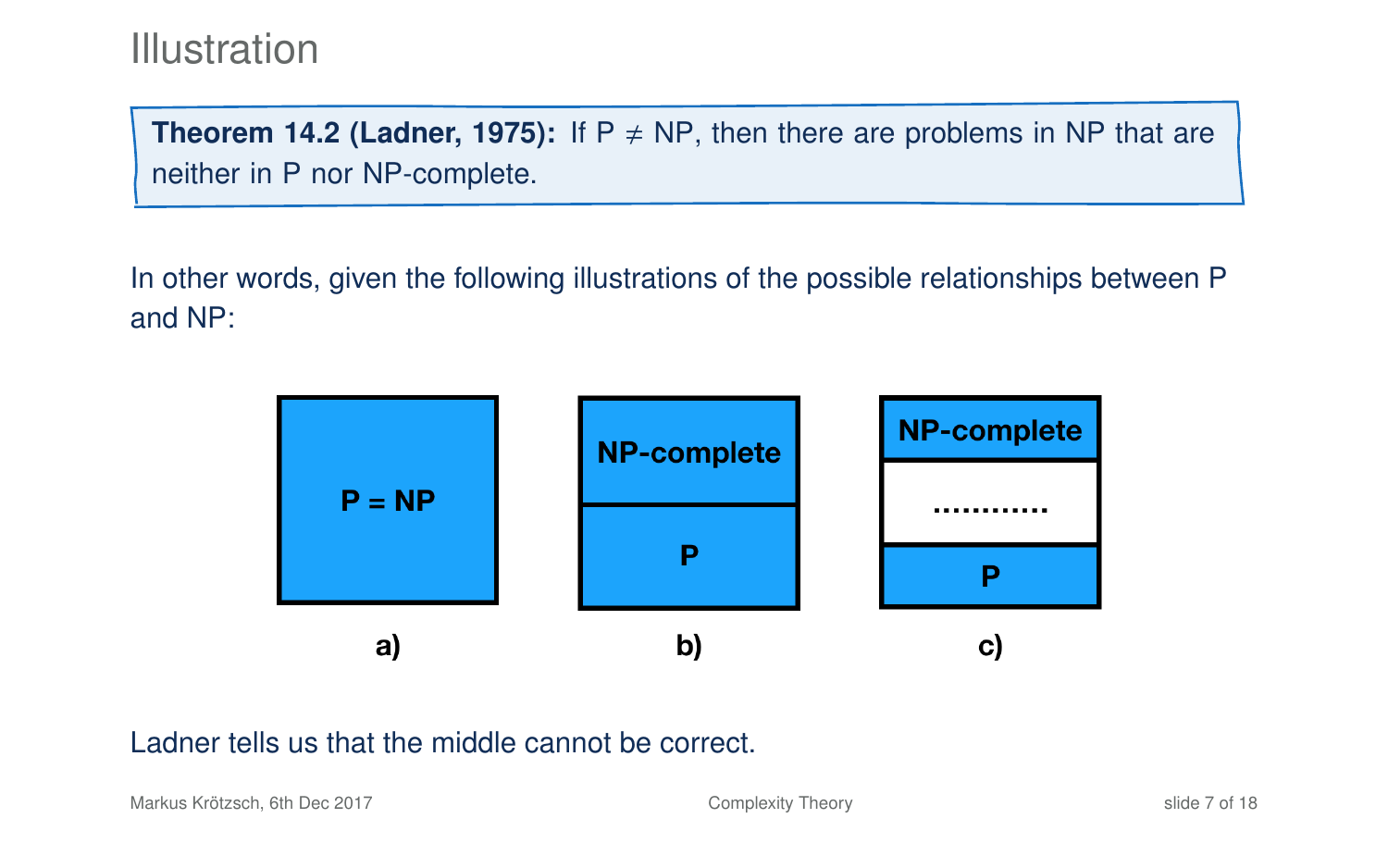### **Illustration**

**Theorem 14[.2](#page-7-0) (Ladner, 1975):** If  $P \neq NP$ , then there are problems in NP that are neither in P nor NP-complete.

In other words, given the following illustrations of the possible relationships between P and NP:



#### Ladner tells us that the middle cannot be correct.

Markus Krötzsch, 6th Dec 2017 **[Complexity Theory](#page-0-0)** Complexity Theory slide 7 of 18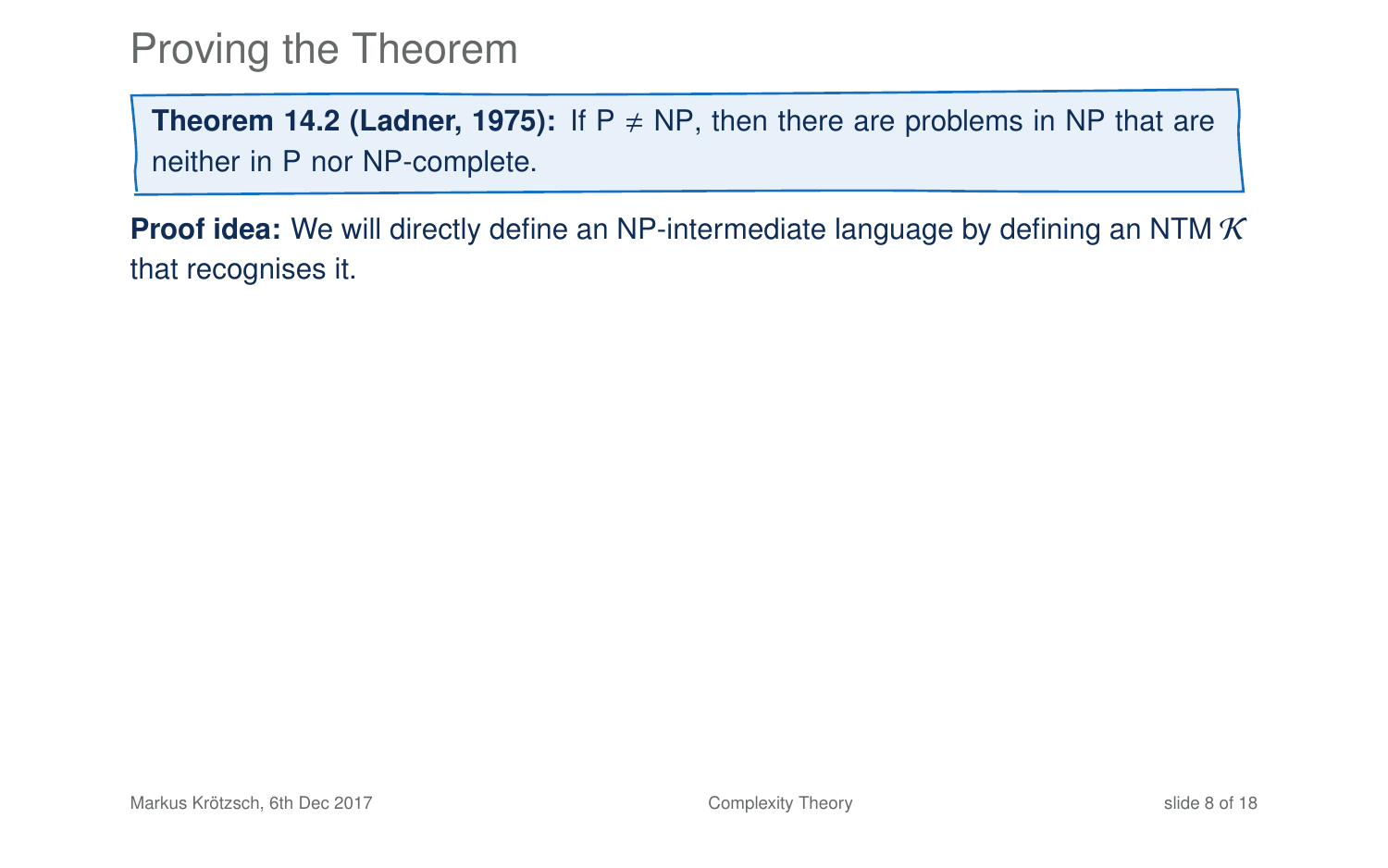### Proving the Theorem

**Theorem 14[.2](#page-7-0) (Ladner, 1975):** If  $P \neq NP$ , then there are problems in NP that are neither in P nor NP-complete.

**Proof idea:** We will directly define an NP-intermediate language by defining an NTM  $\mathcal K$ that recognises it.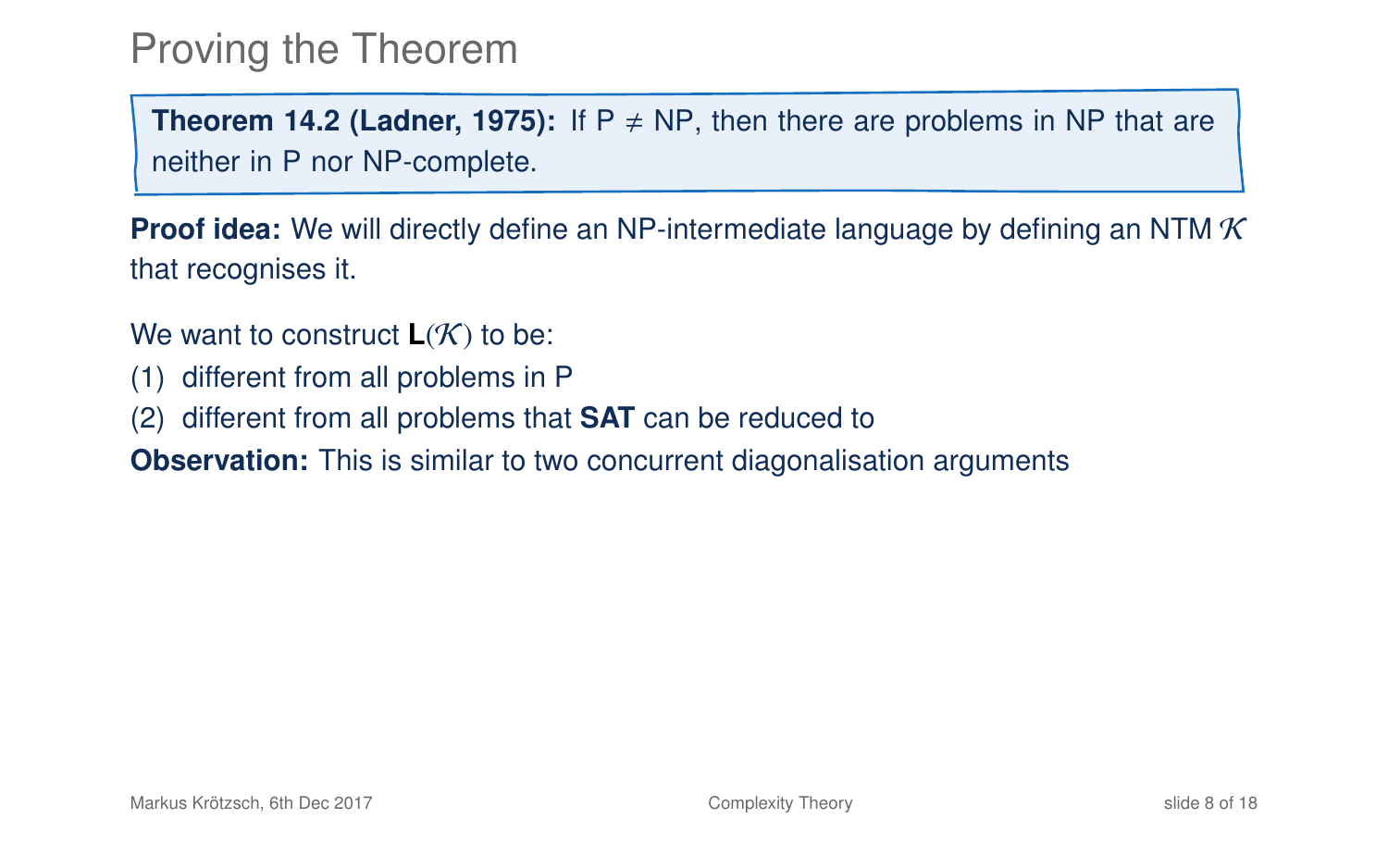### Proving the Theorem

**Theorem 14[.2](#page-7-0) (Ladner, 1975):** If  $P \neq NP$ , then there are problems in NP that are neither in P nor NP-complete.

**Proof idea:** We will directly define an NP-intermediate language by defining an NTM K that recognises it.

- We want to construct  $L(K)$  to be:
- (1) different from all problems in P
- (2) different from all problems that **SAT** can be reduced to
- **Observation:** This is similar to two concurrent diagonalisation arguments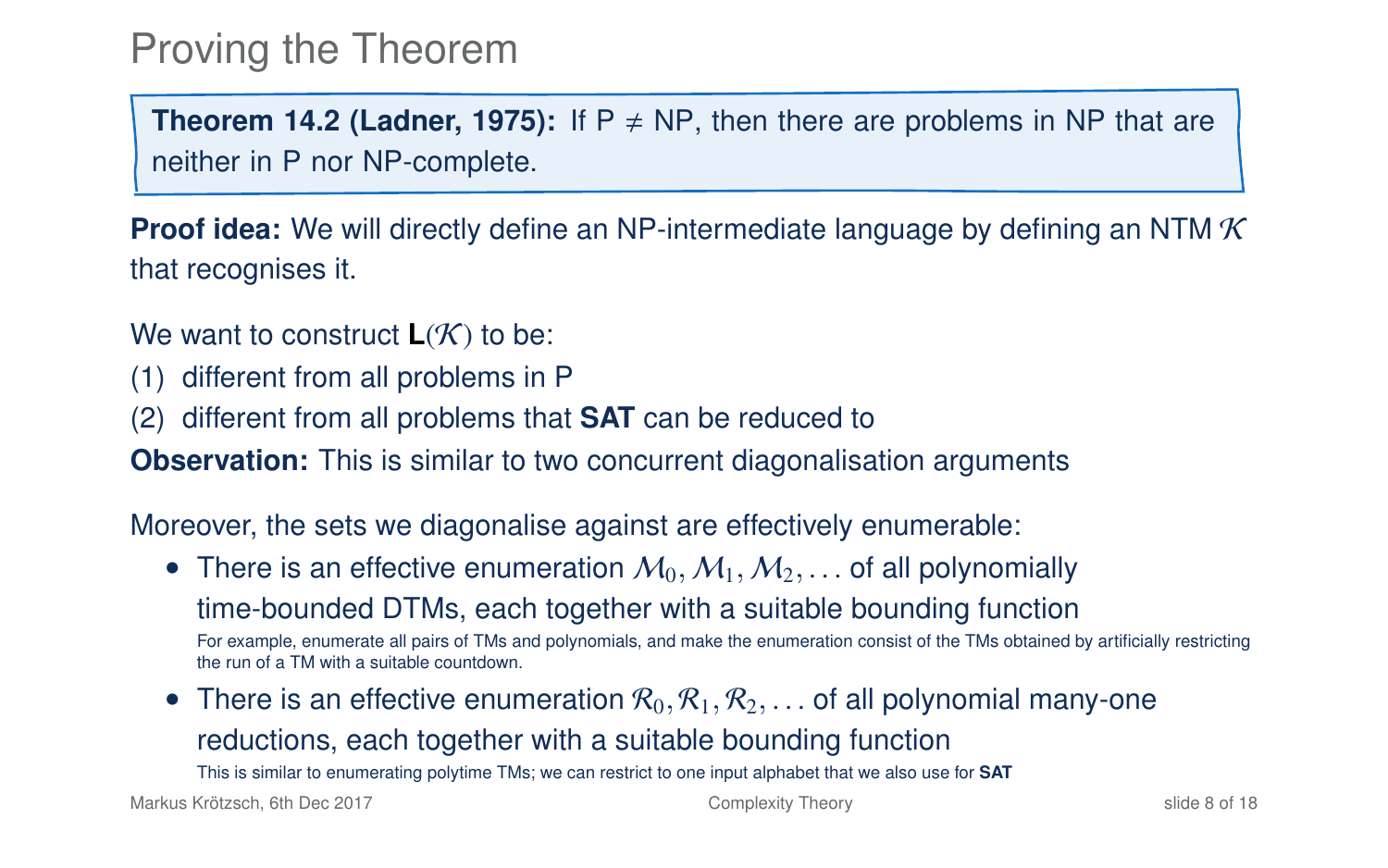### Proving the Theorem

**Theorem 14[.2](#page-7-0) (Ladner, 1975):** If  $P \neq NP$ , then there are problems in NP that are neither in P nor NP-complete.

**Proof idea:** We will directly define an NP-intermediate language by defining an NTM K that recognises it.

We want to construct  $L(K)$  to be:

- (1) different from all problems in P
- (2) different from all problems that **SAT** can be reduced to

**Observation:** This is similar to two concurrent diagonalisation arguments

Moreover, the sets we diagonalise against are effectively enumerable:

- There is an effective enumeration  $M_0, M_1, M_2, \ldots$  of all polynomially time-bounded DTMs, each together with a suitable bounding function For example, enumerate all pairs of TMs and polynomials, and make the enumeration consist of the TMs obtained by artificially restricting the run of a TM with a suitable countdown.
- There is an effective enumeration  $\mathcal{R}_0, \mathcal{R}_1, \mathcal{R}_2, \ldots$  of all polynomial many-one reductions, each together with a suitable bounding function This is similar to enumerating polytime TMs; we can restrict to one input alphabet that we also use for **SAT**

Markus Krötzsch, 6th Dec 2017 [Complexity Theory](#page-0-0) slide 8 of 18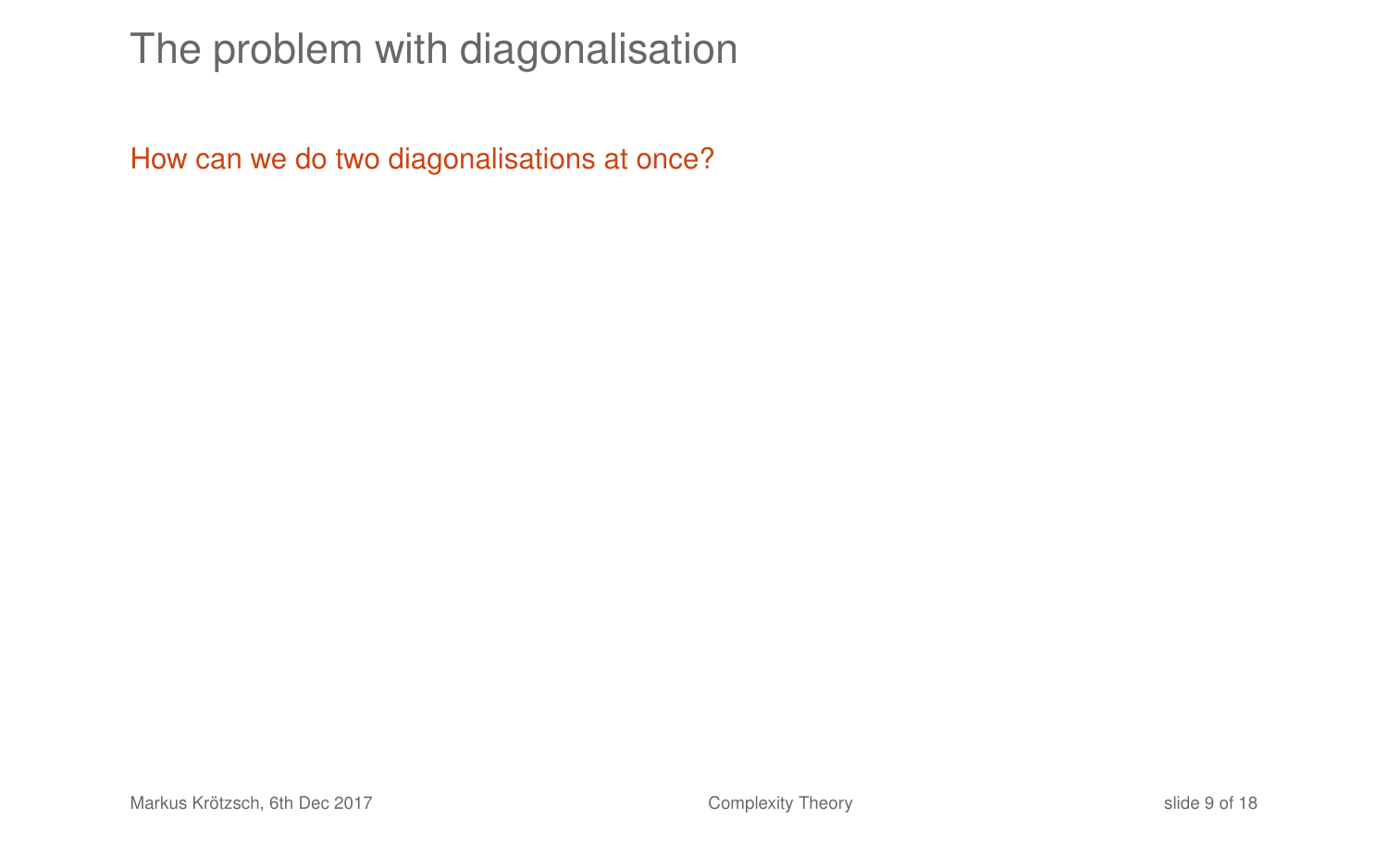# The problem with diagonalisation

How can we do two diagonalisations at once?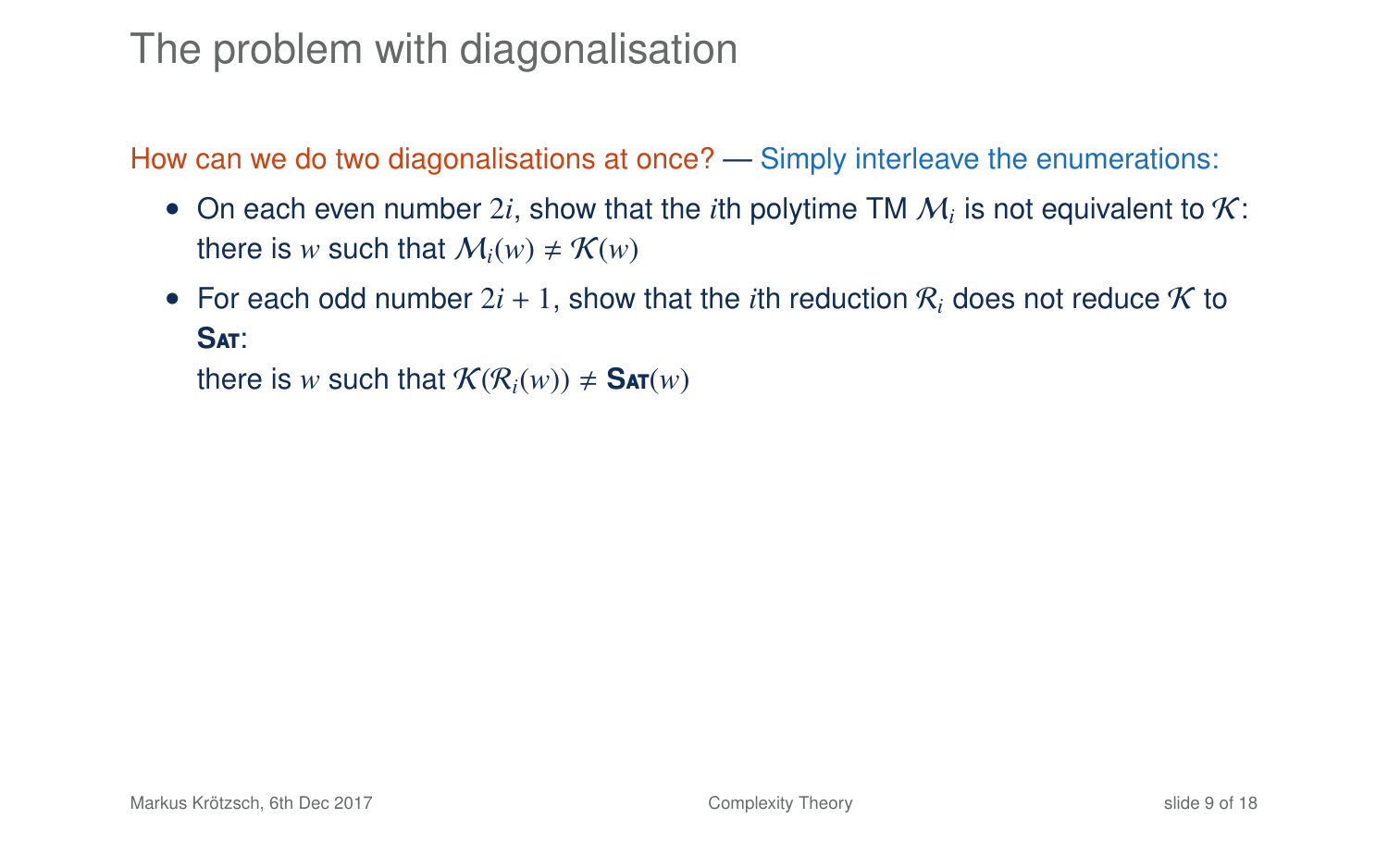### The problem with diagonalisation

How can we do two diagonalisations at once? — Simply interleave the enumerations:

- On each even number  $2i$ , show that the *i*th polytime TM  $M_i$  is not equivalent to  $K$ : there is *w* such that  $M_i(w) \neq K(w)$
- For each odd number  $2i + 1$ , show that the *i*th reduction R<sub>i</sub> does not reduce K to **S**at:

there is *w* such that  $\mathcal{K}(\mathcal{R}_i(w)) \neq \mathsf{SAT}(w)$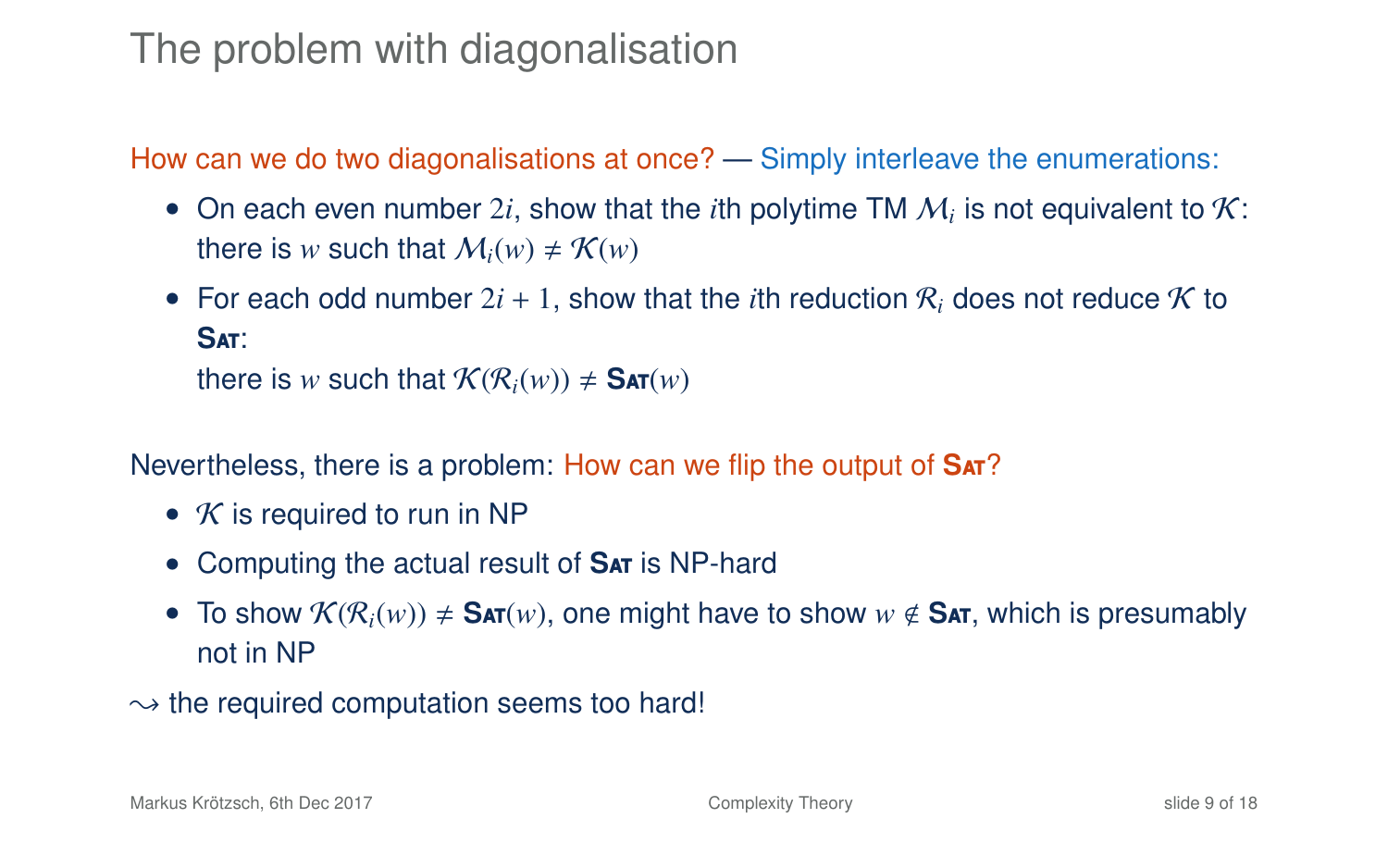### The problem with diagonalisation

How can we do two diagonalisations at once? — Simply interleave the enumerations:

- On each even number  $2i$ , show that the *i*th polytime TM  $M_i$  is not equivalent to  $K$ : there is *w* such that  $M_i(w) \neq K(w)$
- For each odd number  $2i + 1$ , show that the *i*th reduction R<sub>i</sub> does not reduce K to **S**at: there is *w* such that  $\mathcal{K}(\mathcal{R}_i(w)) \neq \mathsf{SAT}(w)$

Nevertheless, there is a problem: How can we flip the output of **S**at?

- $K$  is required to run in NP
- Computing the actual result of **SAT** is NP-hard
- To show  $\mathcal{K}(\mathcal{R}_i(w)) \neq \mathsf{SAT}(w)$ , one might have to show  $w \notin \mathsf{SAT}$ , which is presumably not in NP
- $\rightarrow$  the required computation seems too hard!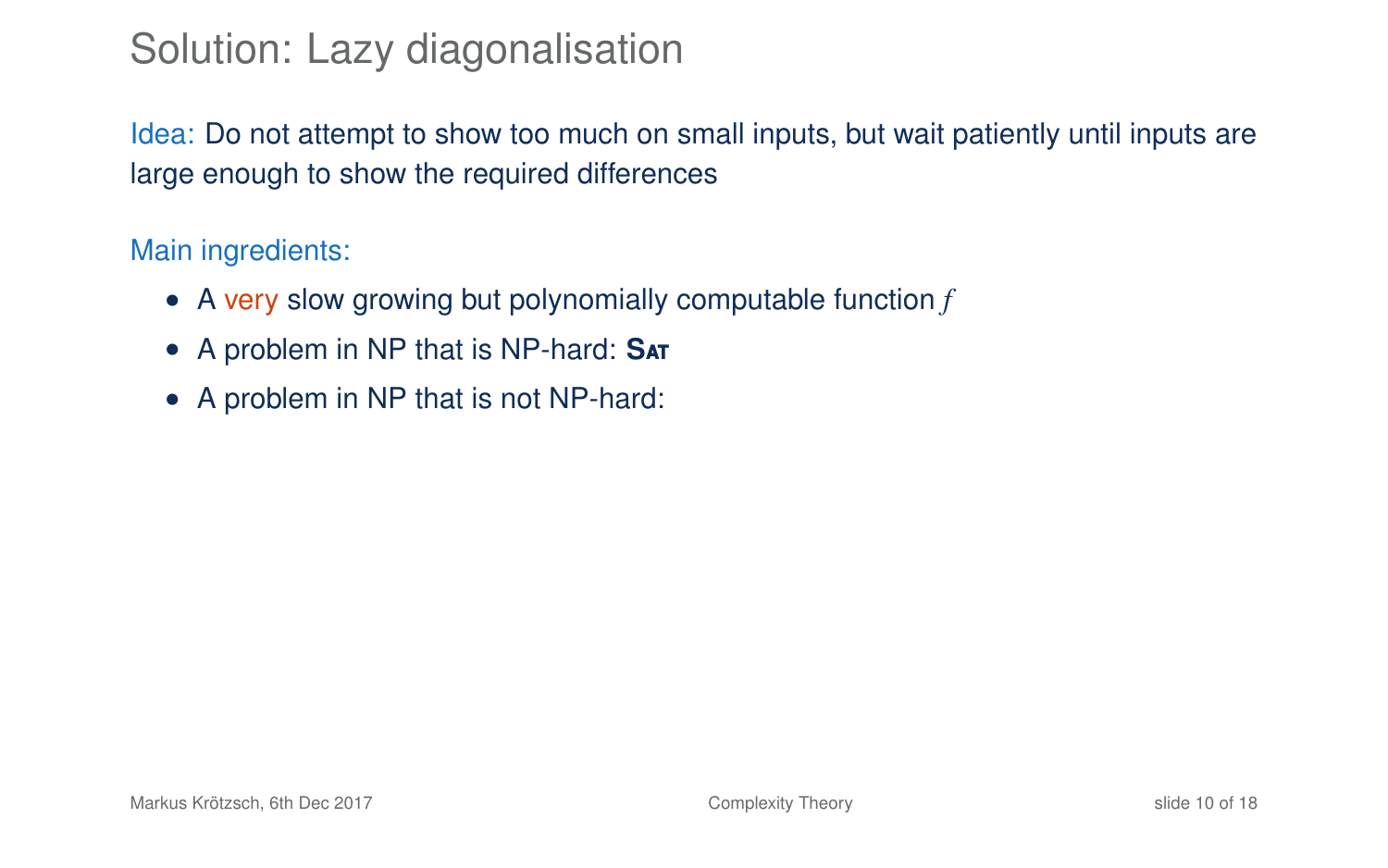# Solution: Lazy diagonalisation

Idea: Do not attempt to show too much on small inputs, but wait patiently until inputs are large enough to show the required differences

#### Main ingredients:

- A very slow growing but polynomially computable function *f*
- A problem in NP that is NP-hard: **S**at
- A problem in NP that is not NP-hard: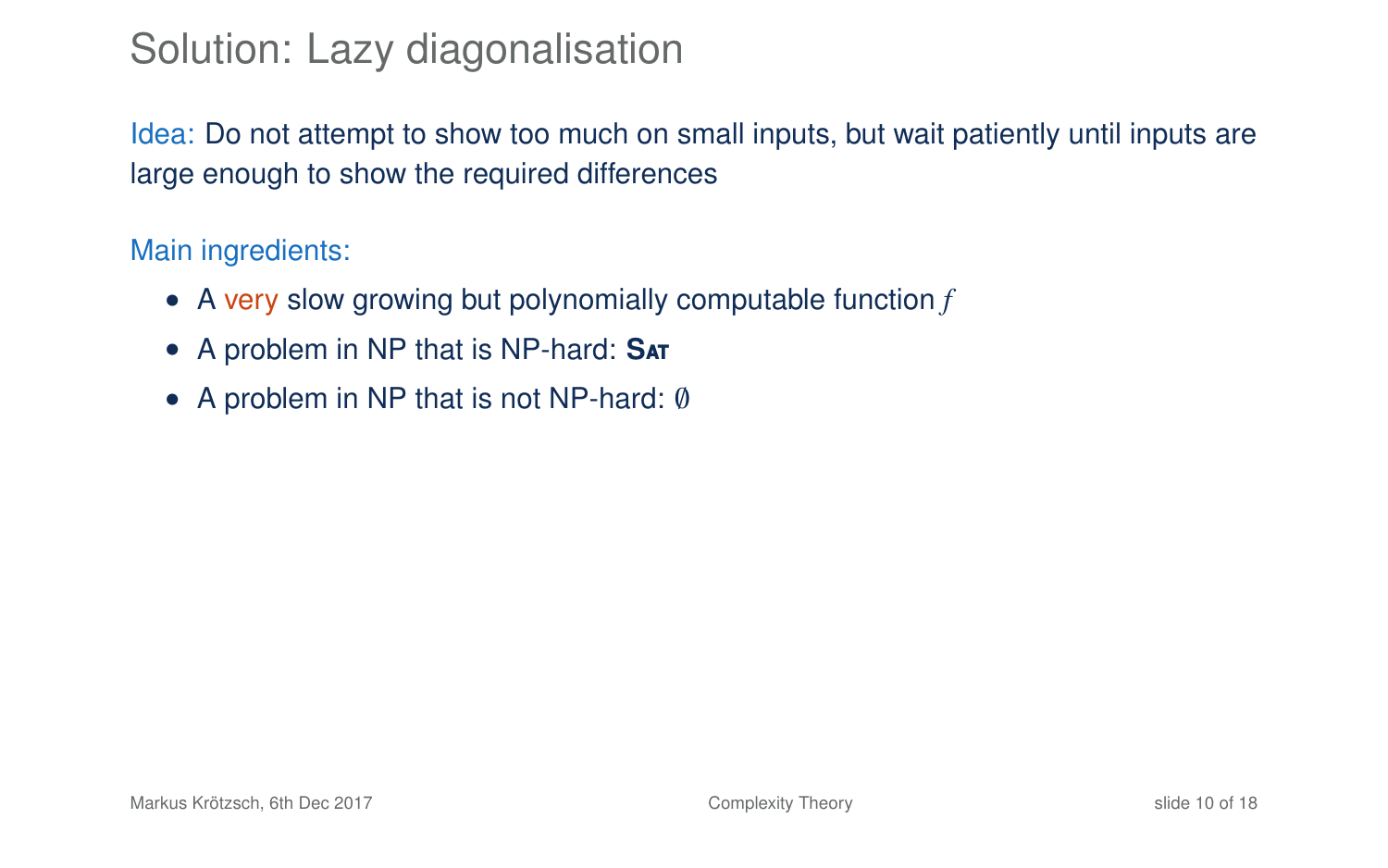# Solution: Lazy diagonalisation

Idea: Do not attempt to show too much on small inputs, but wait patiently until inputs are large enough to show the required differences

#### Main ingredients:

- A very slow growing but polynomially computable function *f*
- A problem in NP that is NP-hard: **S**at
- A problem in NP that is not NP-hard: ∅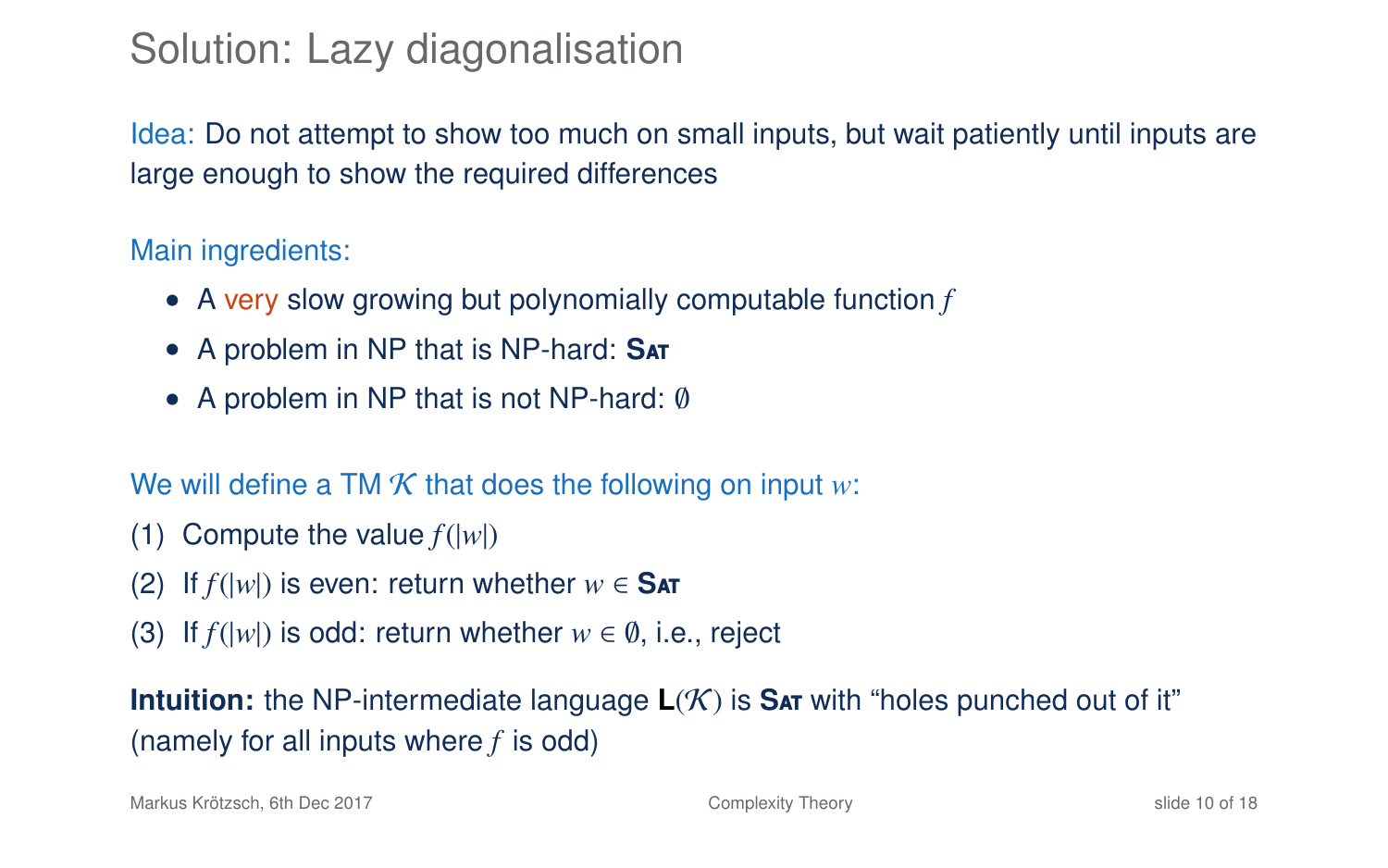# Solution: Lazy diagonalisation

Idea: Do not attempt to show too much on small inputs, but wait patiently until inputs are large enough to show the required differences

#### Main ingredients:

- A very slow growing but polynomially computable function *f*
- A problem in NP that is NP-hard: **S**at
- A problem in NP that is not NP-hard: ∅

#### We will define a TM  $K$  that does the following on input  $w$ :

- (1) Compute the value  $f(|w|)$
- (2) If  $f(|w|)$  is even: return whether  $w \in$  SAT
- (3) If  $f(|w|)$  is odd: return whether  $w \in \emptyset$ , i.e., reject

**Intuition:** the NP-intermediate language  $L(K)$  is **SAT** with "holes punched out of it" (namely for all inputs where *f* is odd)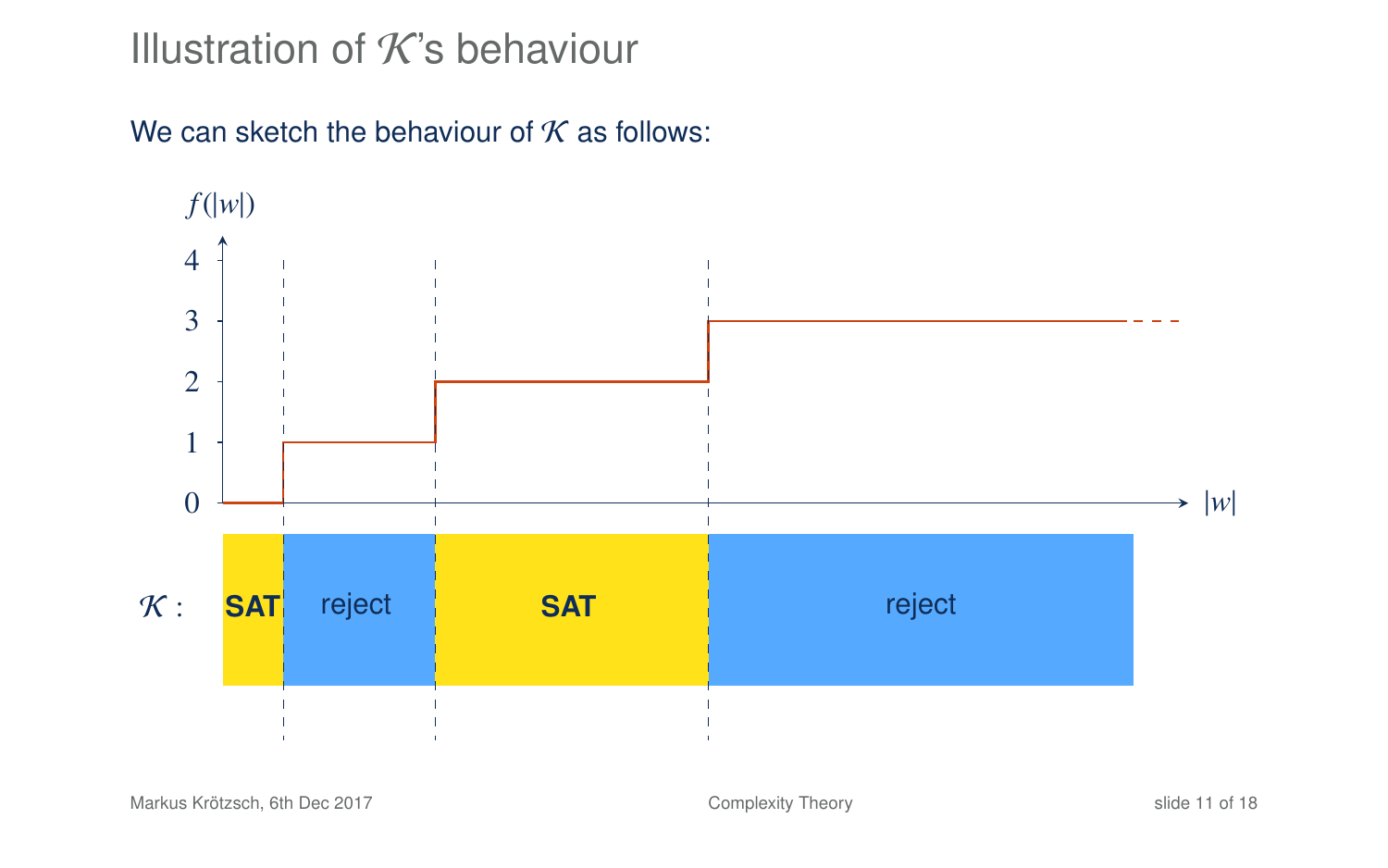### Illustration of  $K$ 's behaviour

We can sketch the behaviour of  $K$  as follows:

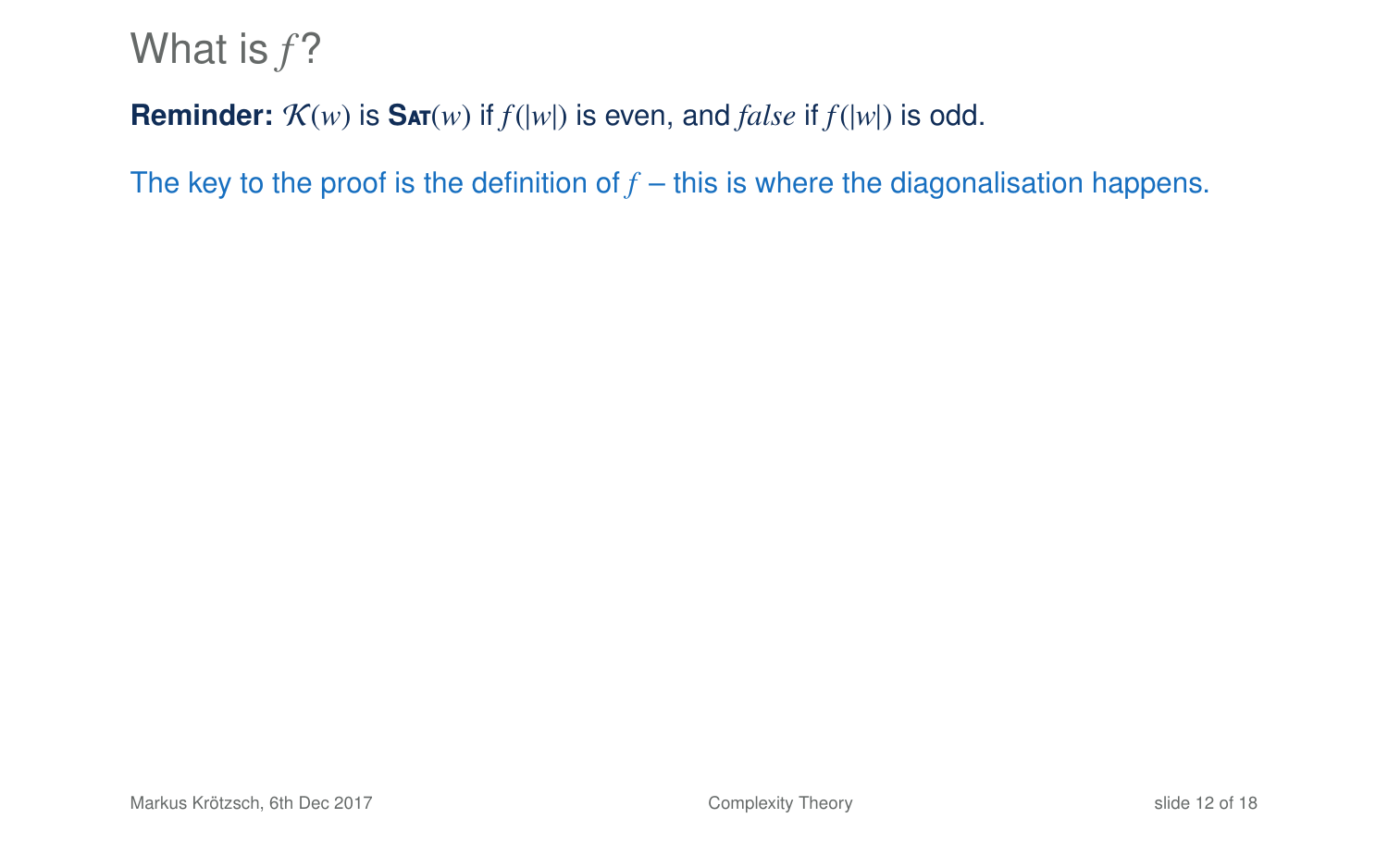### **Reminder:**  $K(w)$  is  $\text{SAT}(w)$  if  $f(|w|)$  is even, and *false* if  $f(|w|)$  is odd.

The key to the proof is the definition of  $f$  – this is where the diagonalisation happens.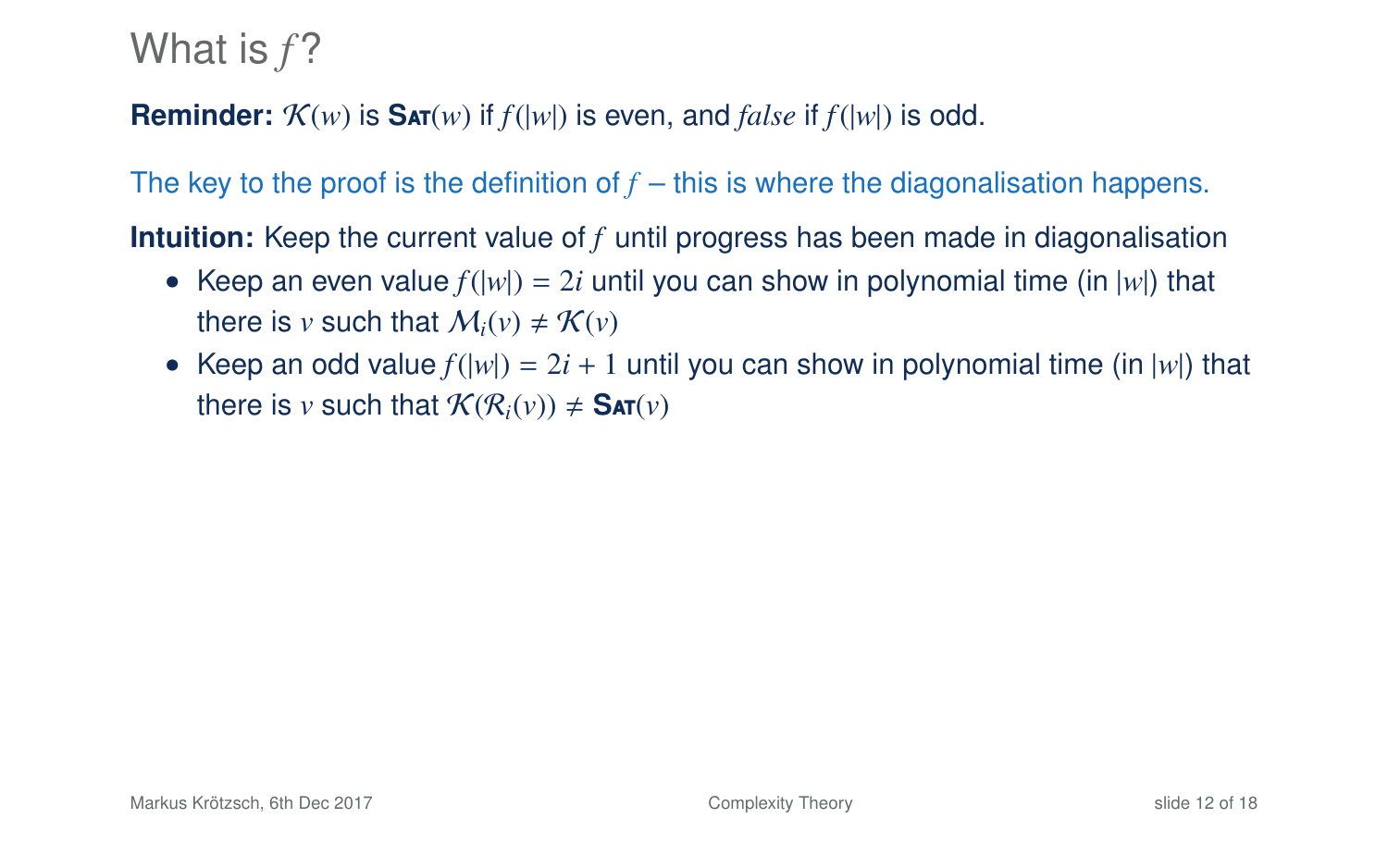### **Reminder:**  $\mathcal{K}(w)$  is  $\textbf{S}_{\textbf{AT}}(w)$  if  $f(|w|)$  is even, and *false* if  $f(|w|)$  is odd.

The key to the proof is the definition of  $f$  – this is where the diagonalisation happens.

**Intuition:** Keep the current value of *f* until progress has been made in diagonalisation

- Keep an even value  $f(|w|) = 2i$  until you can show in polynomial time (in  $|w|$ ) that there is *v* such that  $M_i(v) \neq \mathcal{K}(v)$
- Keep an odd value  $f(|w|) = 2i + 1$  until you can show in polynomial time (in  $|w|$ ) that there is *v* such that  $\mathcal{K}(\mathcal{R}_i(v)) \neq \mathsf{SAT}(v)$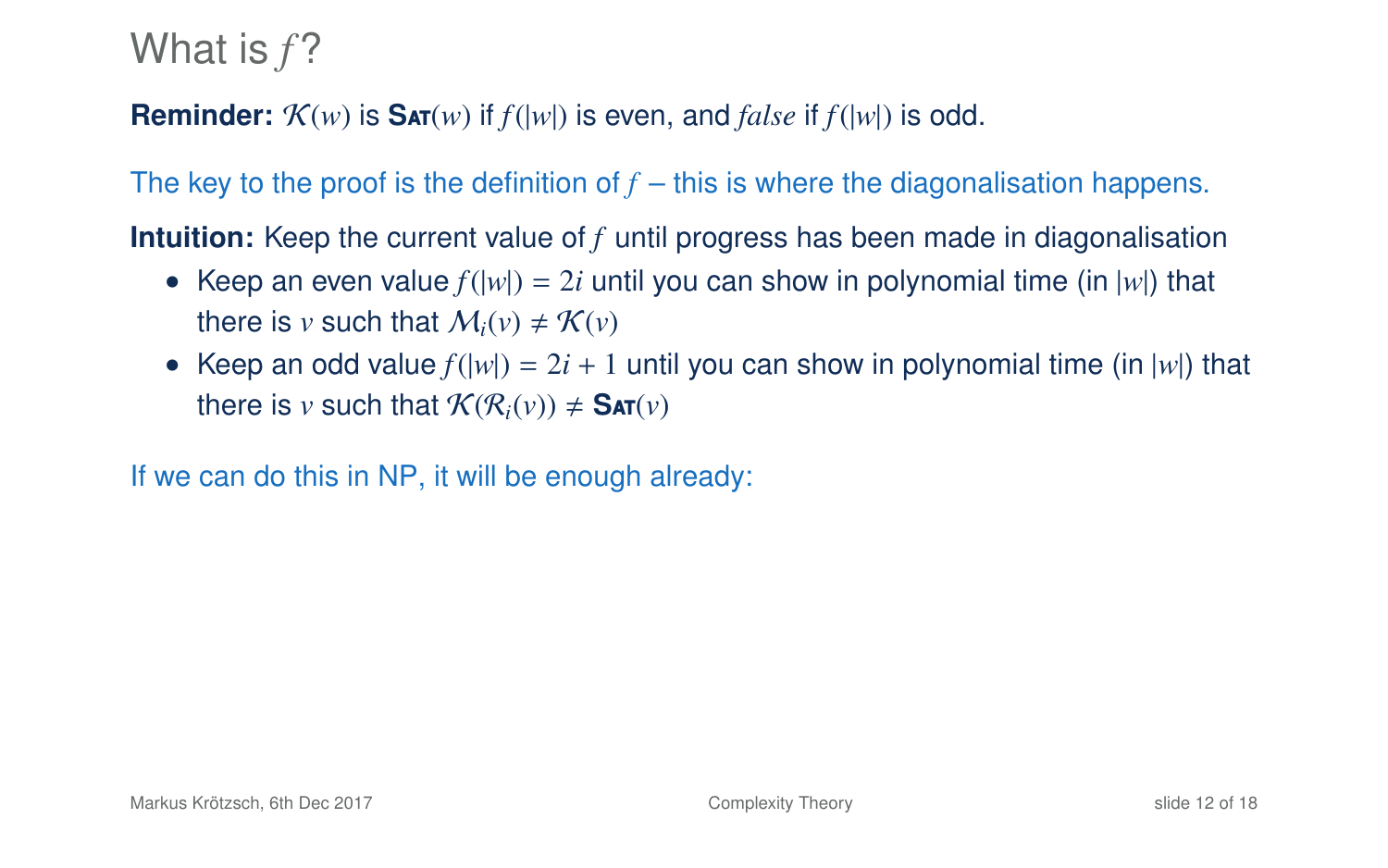### **Reminder:**  $\mathcal{K}(w)$  is  $\textbf{S}_{\textbf{AT}}(w)$  if  $f(|w|)$  is even, and *false* if  $f(|w|)$  is odd.

The key to the proof is the definition of  $f$  – this is where the diagonalisation happens.

**Intuition:** Keep the current value of *f* until progress has been made in diagonalisation

- Keep an even value  $f(|w|) = 2i$  until you can show in polynomial time (in  $|w|$ ) that there is *v* such that  $M_i(v) \neq \mathcal{K}(v)$
- Keep an odd value  $f(|w|) = 2i + 1$  until you can show in polynomial time (in  $|w|$ ) that there is *v* such that  $\mathcal{K}(\mathcal{R}_i(v)) \neq \mathsf{SAT}(v)$

If we can do this in NP, it will be enough already: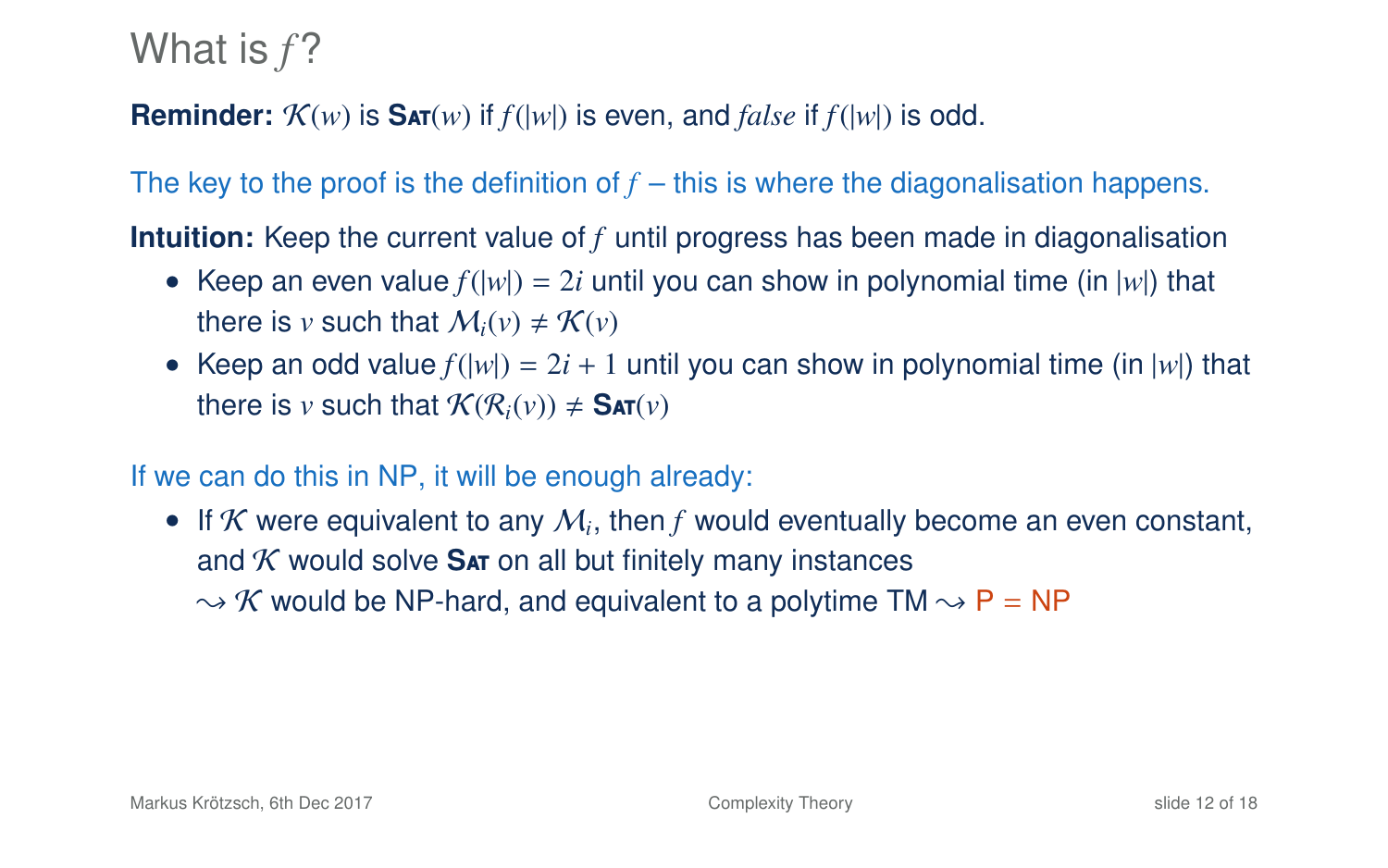### **Reminder:**  $\mathcal{K}(w)$  is  $\textbf{S}_{\textbf{AT}}(w)$  if  $f(|w|)$  is even, and *false* if  $f(|w|)$  is odd.

The key to the proof is the definition of  $f$  – this is where the diagonalisation happens.

**Intuition:** Keep the current value of *f* until progress has been made in diagonalisation

- Keep an even value  $f(|w|) = 2i$  until you can show in polynomial time (in  $|w|$ ) that there is *v* such that  $M_i(v) \neq \mathcal{K}(v)$
- Keep an odd value  $f(|w|) = 2i + 1$  until you can show in polynomial time (in  $|w|$ ) that there is *v* such that  $\mathcal{K}(\mathcal{R}_i(v)) \neq \mathsf{SAT}(v)$

#### If we can do this in NP, it will be enough already:

 $\bullet$  If  $K$  were equivalent to any  $M_i$ , then  $f$  would eventually become an even constant, and  $K$  would solve  $S$ <sub>A</sub> on all but finitely many instances  $\rightarrow$  K would be NP-hard, and equivalent to a polytime TM  $\rightarrow$  P = NP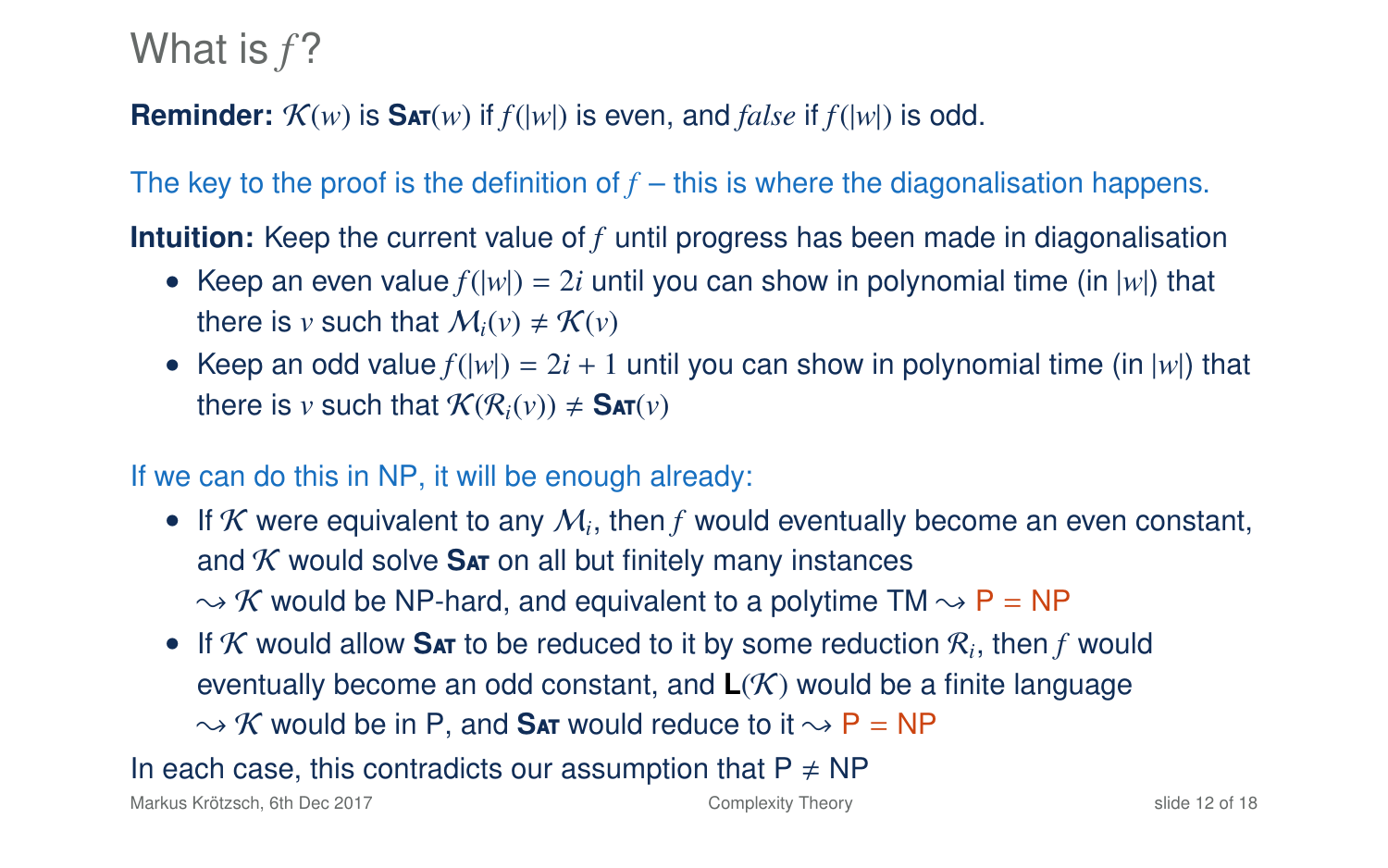### **Reminder:**  $\mathcal{K}(w)$  is  $\textbf{S}_{\textbf{AT}}(w)$  if  $f(|w|)$  is even, and *false* if  $f(|w|)$  is odd.

The key to the proof is the definition of  $f$  – this is where the diagonalisation happens.

**Intuition:** Keep the current value of *f* until progress has been made in diagonalisation

- Keep an even value  $f(|w|) = 2i$  until you can show in polynomial time (in  $|w|$ ) that there is *v* such that  $M_i(v) \neq \mathcal{K}(v)$
- Keep an odd value  $f(|w|) = 2i + 1$  until you can show in polynomial time (in  $|w|$ ) that there is *v* such that  $\mathcal{K}(\mathcal{R}_i(v)) \neq \mathsf{SAT}(v)$

#### If we can do this in NP, it will be enough already:

- $\bullet$  If  $K$  were equivalent to any  $M_i$ , then  $f$  would eventually become an even constant, and  $K$  would solve  $S$ <sub>A</sub> on all but finitely many instances  $\rightarrow$  K would be NP-hard, and equivalent to a polytime TM  $\rightarrow$  P = NP
- If  $K$  would allow SAT to be reduced to it by some reduction  $R_i$ , then  $f$  would eventually become an odd constant, and **L**(K) would be a finite language  $\sim$  K would be in P, and **Sat** would reduce to it  $\sim$  P = NP

In each case, this contradicts our assumption that  $P \neq NP$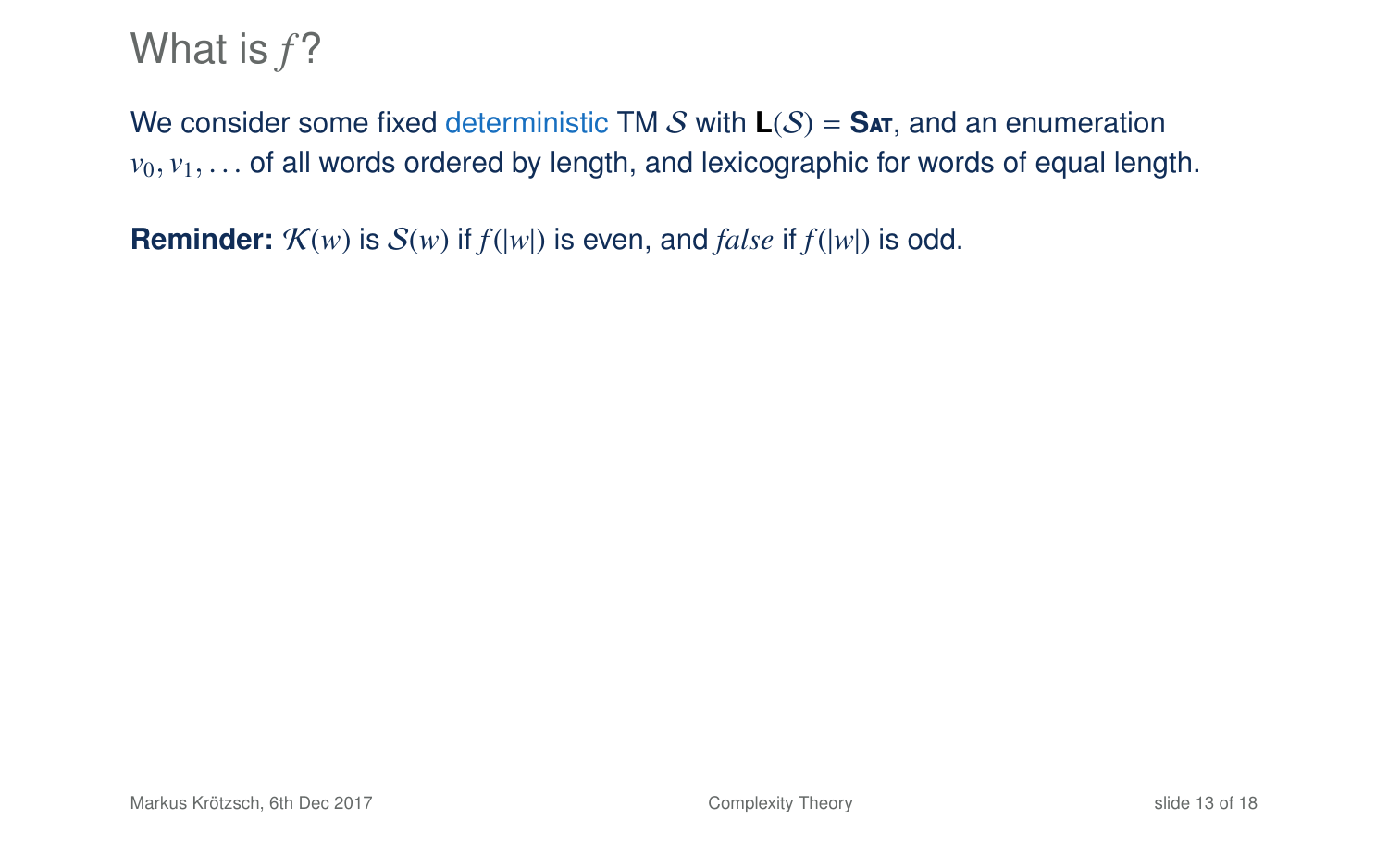We consider some fixed deterministic TM S with  $L(S) = SAT$ , and an enumeration  $v_0, v_1, \ldots$  of all words ordered by length, and lexicographic for words of equal length.

**Reminder:**  $K(w)$  is  $S(w)$  if  $f(|w|)$  is even, and *false* if  $f(|w|)$  is odd.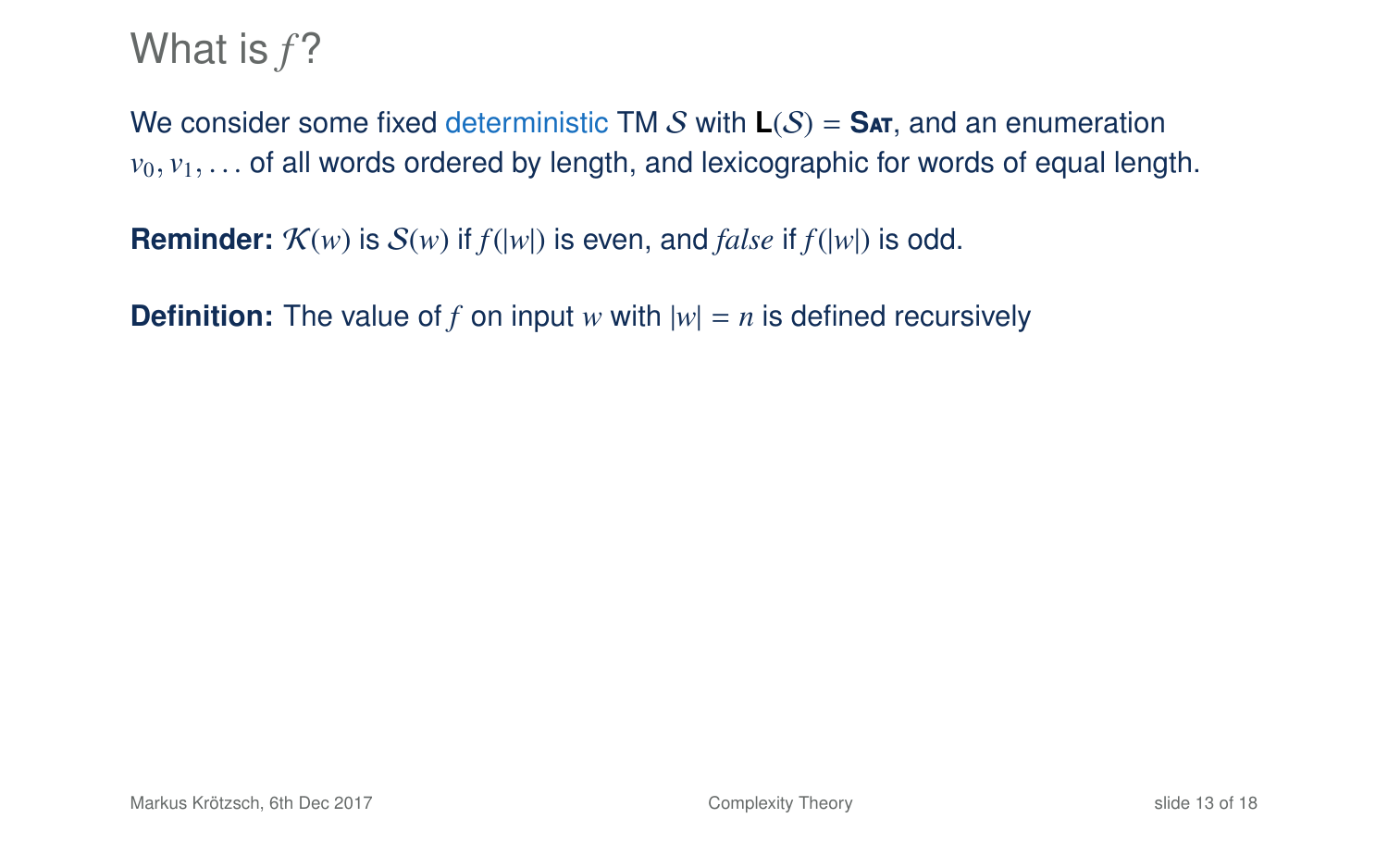We consider some fixed deterministic TM S with  $L(S) = SAT$ , and an enumeration  $v_0, v_1, \ldots$  of all words ordered by length, and lexicographic for words of equal length.

**Reminder:**  $K(w)$  is  $S(w)$  if  $f(|w|)$  is even, and *false* if  $f(|w|)$  is odd.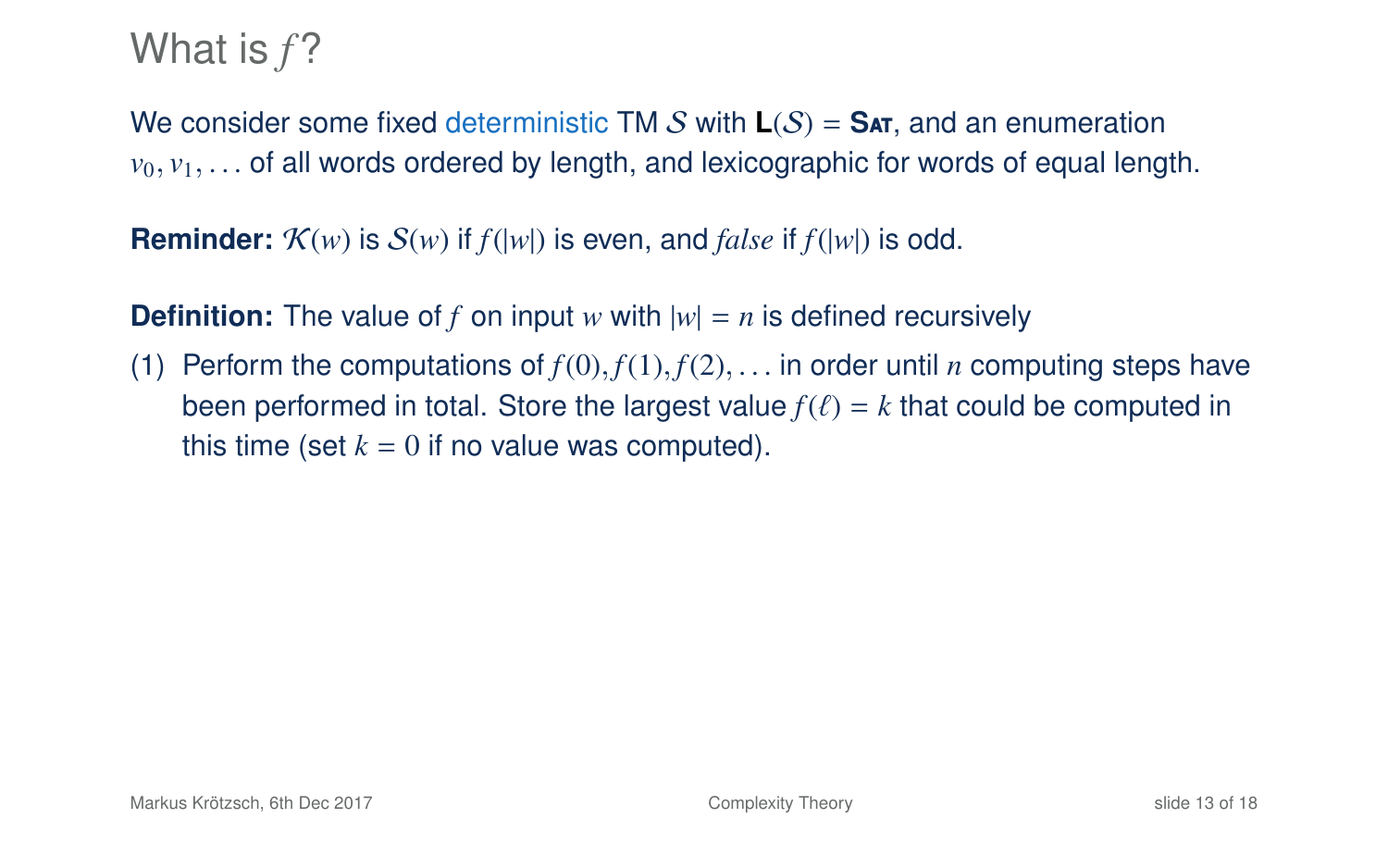We consider some fixed deterministic TM S with  $L(S) = S_{AT}$ , and an enumeration  $v_0, v_1, \ldots$  of all words ordered by length, and lexicographic for words of equal length.

**Reminder:**  $\mathcal{K}(w)$  is  $\mathcal{S}(w)$  if  $f(|w|)$  is even, and *false* if  $f(|w|)$  is odd.

**Definition:** The value of *f* on input *w* with  $|w| = n$  is defined recursively

(1) Perform the computations of  $f(0), f(1), f(2), \ldots$  in order until *n* computing steps have been performed in total. Store the largest value  $f(\ell) = k$  that could be computed in this time (set  $k = 0$  if no value was computed).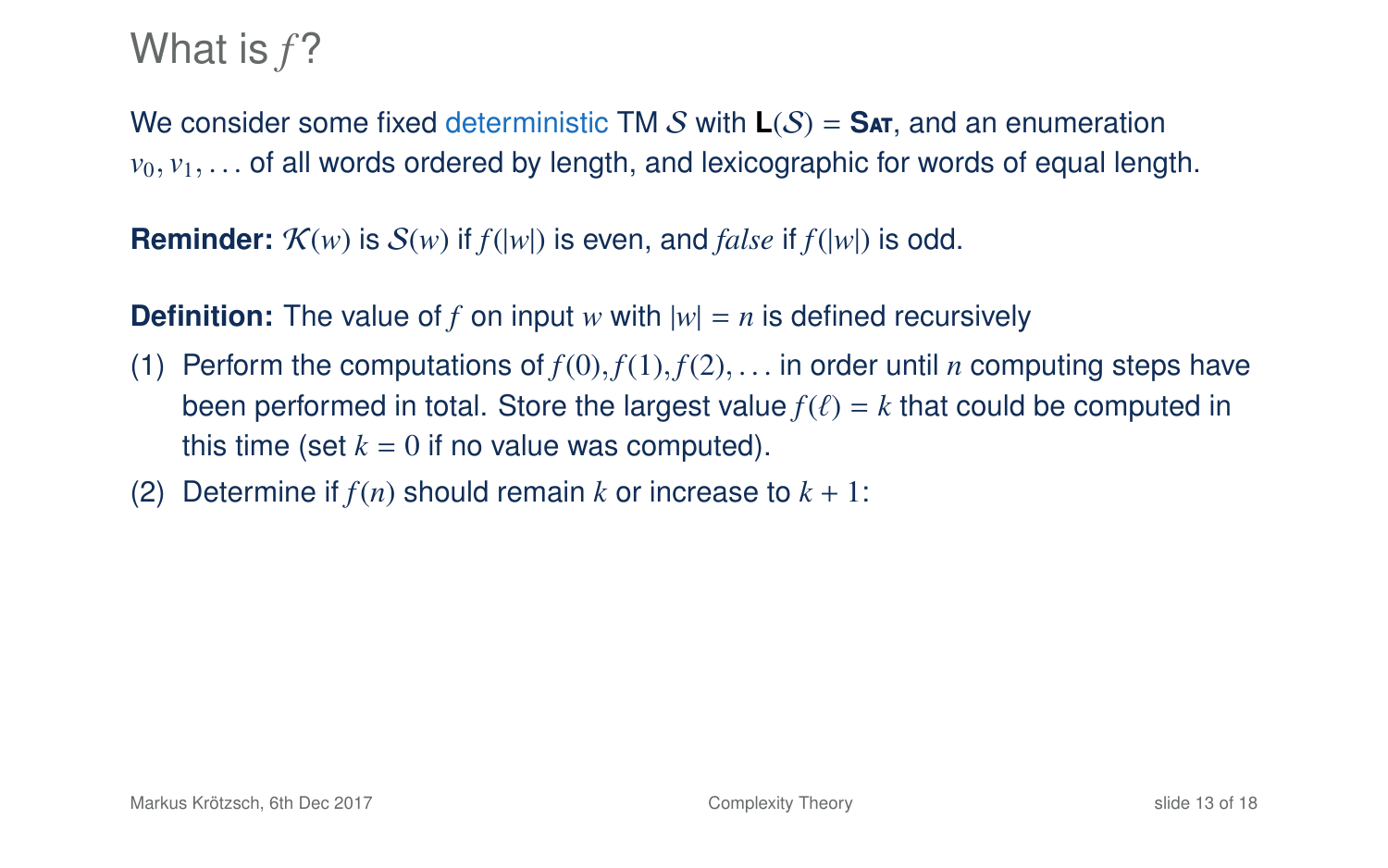We consider some fixed deterministic TM S with **L**(S) = **S**at, and an enumeration  $v_0, v_1, \ldots$  of all words ordered by length, and lexicographic for words of equal length.

**Reminder:**  $K(w)$  is  $S(w)$  if  $f(|w|)$  is even, and *false* if  $f(|w|)$  is odd.

- (1) Perform the computations of  $f(0), f(1), f(2), \ldots$  in order until *n* computing steps have been performed in total. Store the largest value  $f(\ell) = k$  that could be computed in this time (set  $k = 0$  if no value was computed).
- (2) Determine if  $f(n)$  should remain k or increase to  $k + 1$ :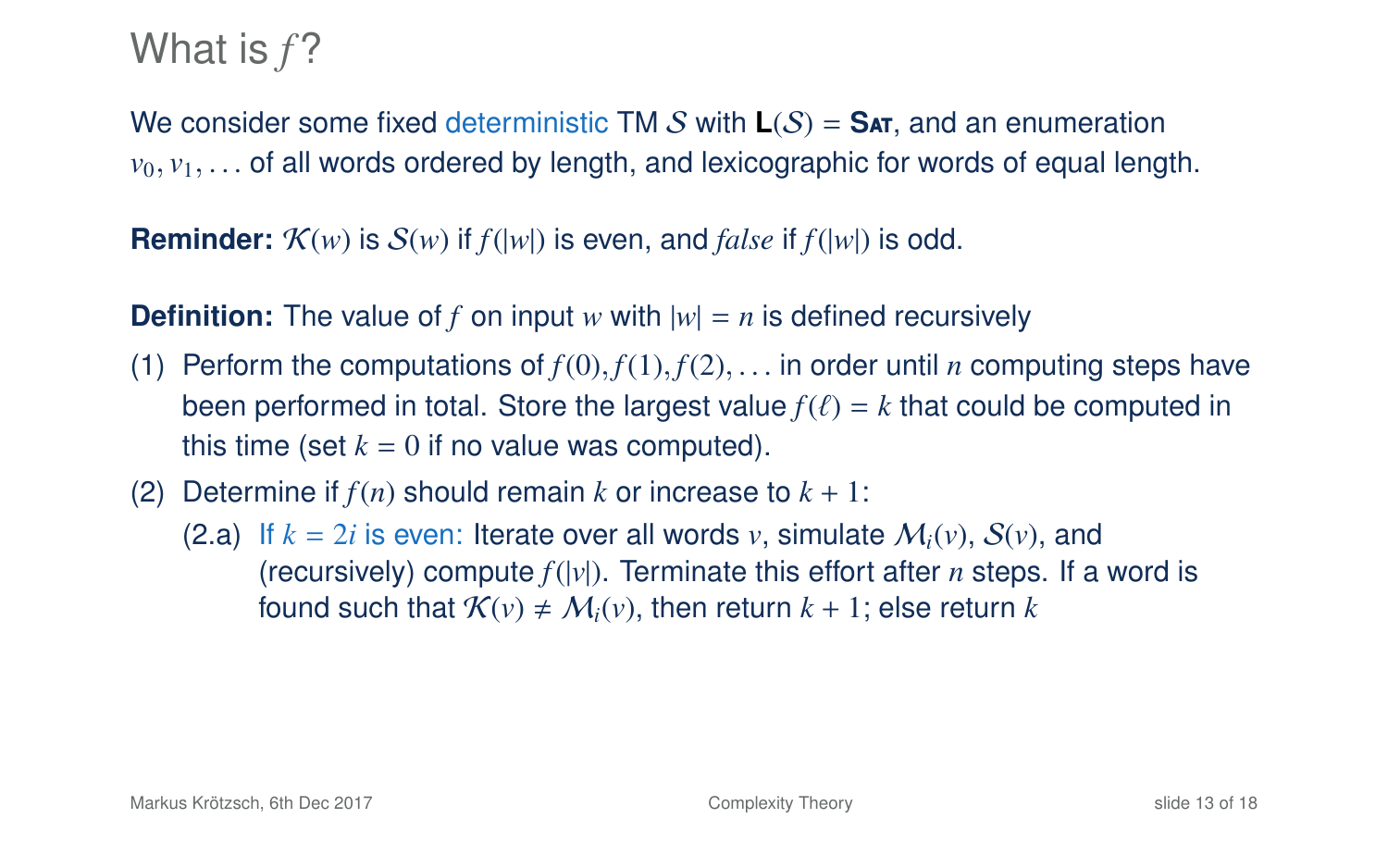We consider some fixed deterministic TM S with **L**(S) = **S**at, and an enumeration  $v_0, v_1, \ldots$  of all words ordered by length, and lexicographic for words of equal length.

**Reminder:**  $\mathcal{K}(w)$  is  $\mathcal{S}(w)$  if  $f(|w|)$  is even, and *false* if  $f(|w|)$  is odd.

- (1) Perform the computations of  $f(0), f(1), f(2), \ldots$  in order until *n* computing steps have been performed in total. Store the largest value  $f(\ell) = k$  that could be computed in this time (set  $k = 0$  if no value was computed).
- (2) Determine if  $f(n)$  should remain k or increase to  $k + 1$ :
	- (2.a) If  $k = 2i$  is even: Iterate over all words *v*, simulate  $M_i(v)$ ,  $S(v)$ , and (recursively) compute  $f(|v|)$ . Terminate this effort after *n* steps. If a word is found such that  $\mathcal{K}(v) \neq \mathcal{M}_i(v)$ , then return  $k + 1$ ; else return k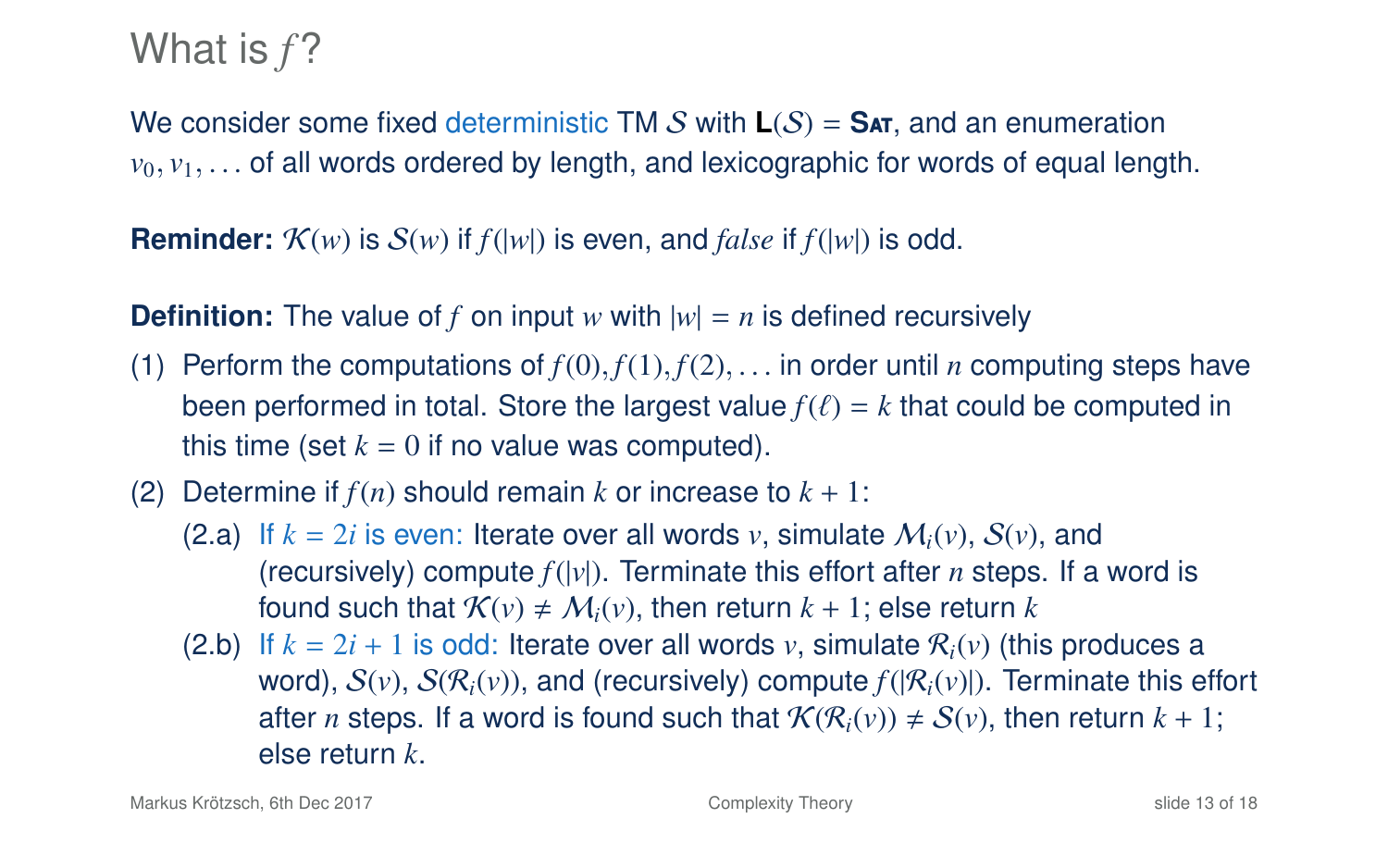We consider some fixed deterministic TM S with  $L(S) = SAT$ , and an enumeration  $v_0, v_1, \ldots$  of all words ordered by length, and lexicographic for words of equal length.

**Reminder:**  $K(w)$  is  $S(w)$  if  $f(|w|)$  is even, and *false* if  $f(|w|)$  is odd.

- (1) Perform the computations of  $f(0), f(1), f(2), \ldots$  in order until *n* computing steps have been performed in total. Store the largest value  $f(\ell) = k$  that could be computed in this time (set  $k = 0$  if no value was computed).
- (2) Determine if  $f(n)$  should remain k or increase to  $k + 1$ :
	- (2.a) If  $k = 2i$  is even: Iterate over all words *v*, simulate  $M_i(v)$ ,  $S(v)$ , and (recursively) compute  $f(|v|)$ . Terminate this effort after *n* steps. If a word is found such that  $\mathcal{K}(v) \neq \mathcal{M}_i(v)$ , then return  $k + 1$ ; else return k
	- (2.b) If  $k = 2i + 1$  is odd: Iterate over all words  $v$ , simulate  $\mathcal{R}_i(v)$  (this produces a word),  $S(v)$ ,  $S(\mathcal{R}_i(v))$ , and (recursively) compute  $f(|\mathcal{R}_i(v)|)$ . Terminate this effort after *n* steps. If a word is found such that  $\mathcal{K}(\mathcal{R}_i(v)) \neq \mathcal{S}(v)$ , then return  $k + 1$ ; else return *k*.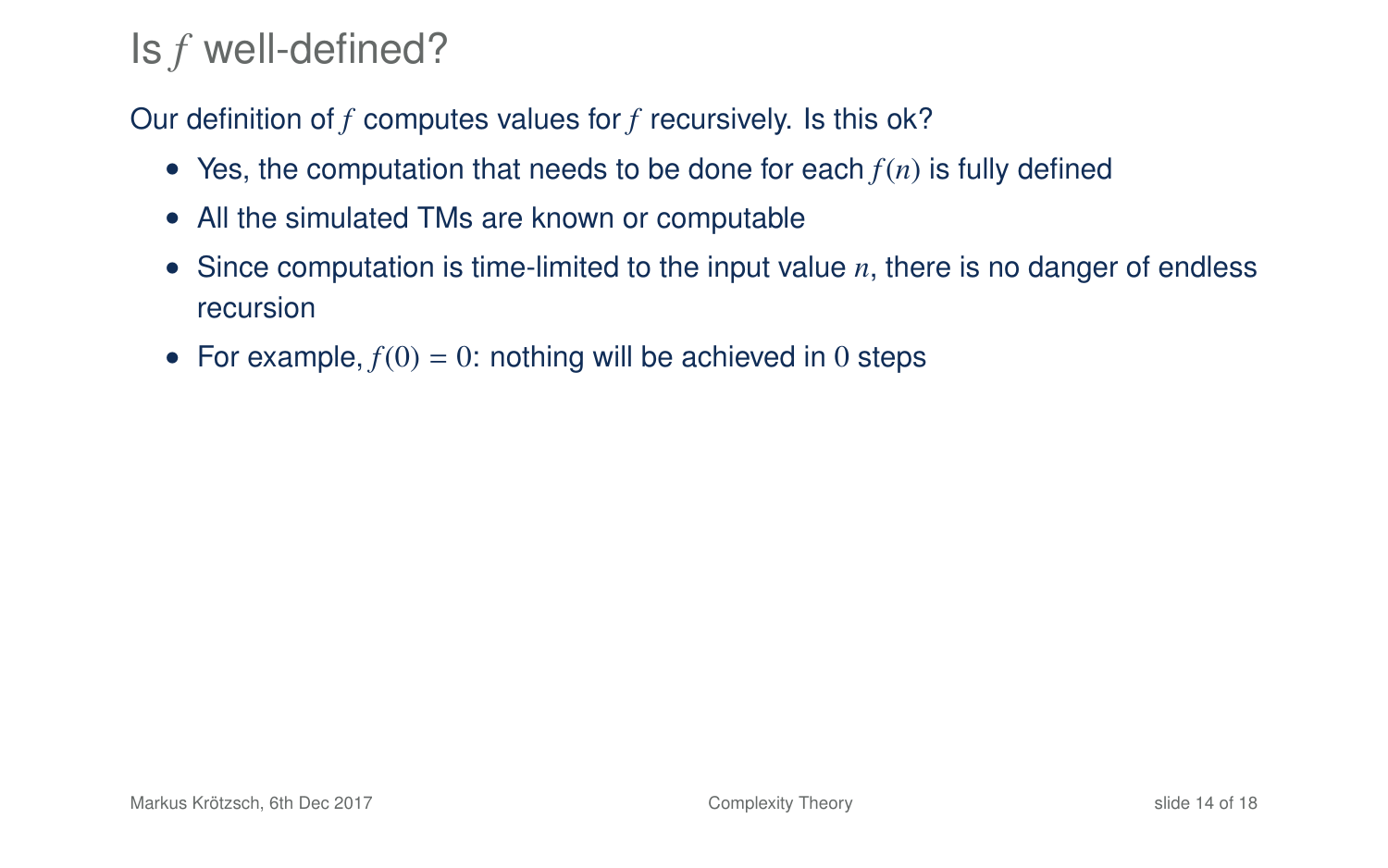## Is *f* well-defined?

Our definition of *f* computes values for *f* recursively. Is this ok?

- Yes, the computation that needs to be done for each  $f(n)$  is fully defined
- All the simulated TMs are known or computable
- Since computation is time-limited to the input value *n*, there is no danger of endless recursion
- For example,  $f(0) = 0$ : nothing will be achieved in 0 steps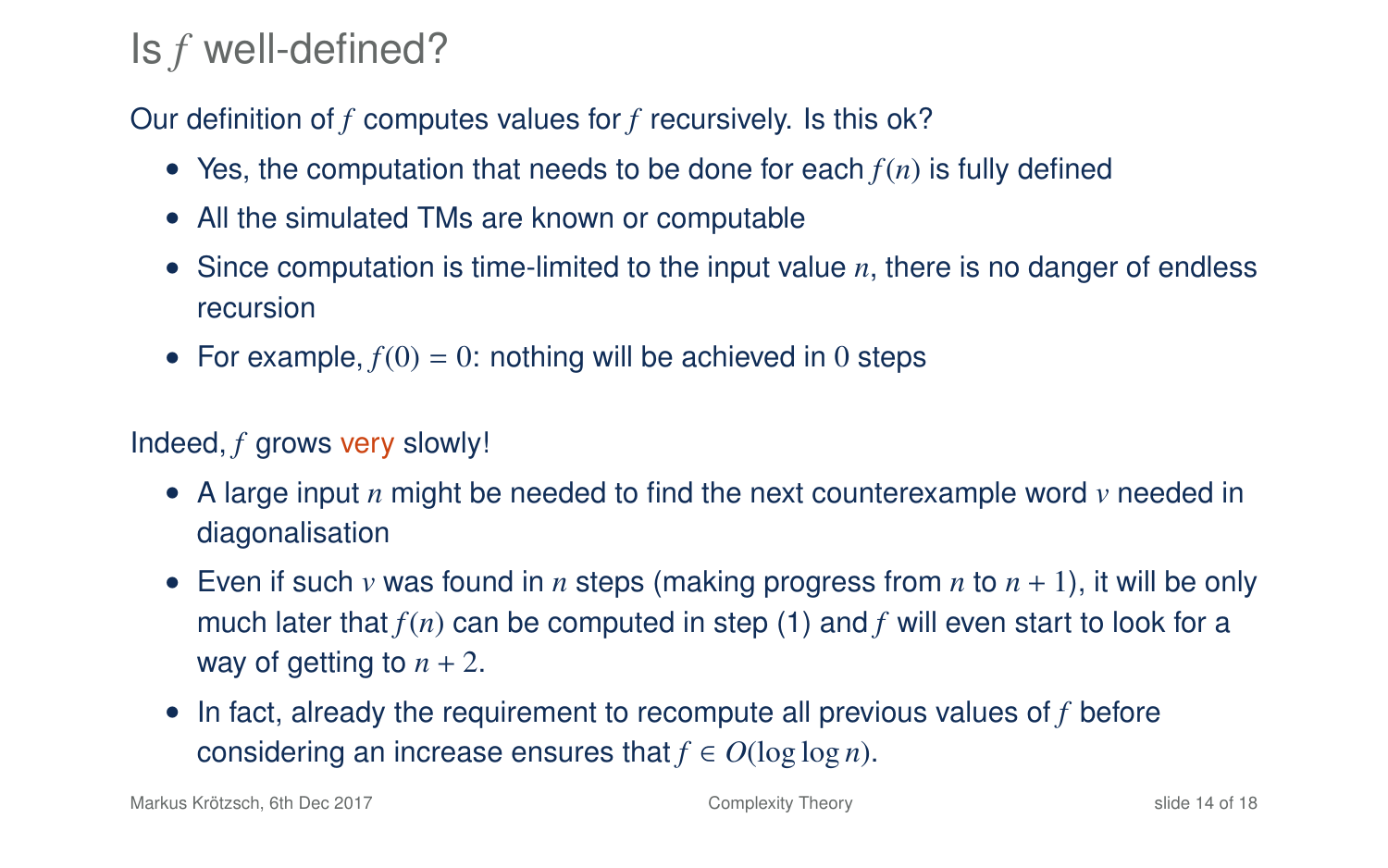## Is *f* well-defined?

Our definition of *f* computes values for *f* recursively. Is this ok?

- Yes, the computation that needs to be done for each  $f(n)$  is fully defined
- All the simulated TMs are known or computable
- Since computation is time-limited to the input value *n*, there is no danger of endless recursion
- For example,  $f(0) = 0$ : nothing will be achieved in 0 steps

### Indeed, *f* grows very slowly!

- A large input *n* might be needed to find the next counterexample word *v* needed in diagonalisation
- Even if such  $\nu$  was found in  $n$  steps (making progress from  $n$  to  $n + 1$ ), it will be only much later that *f*(*n*) can be computed in step (1) and *f* will even start to look for a way of getting to  $n + 2$ .
- In fact, already the requirement to recompute all previous values of *f* before considering an increase ensures that  $f \in O(\log \log n)$ .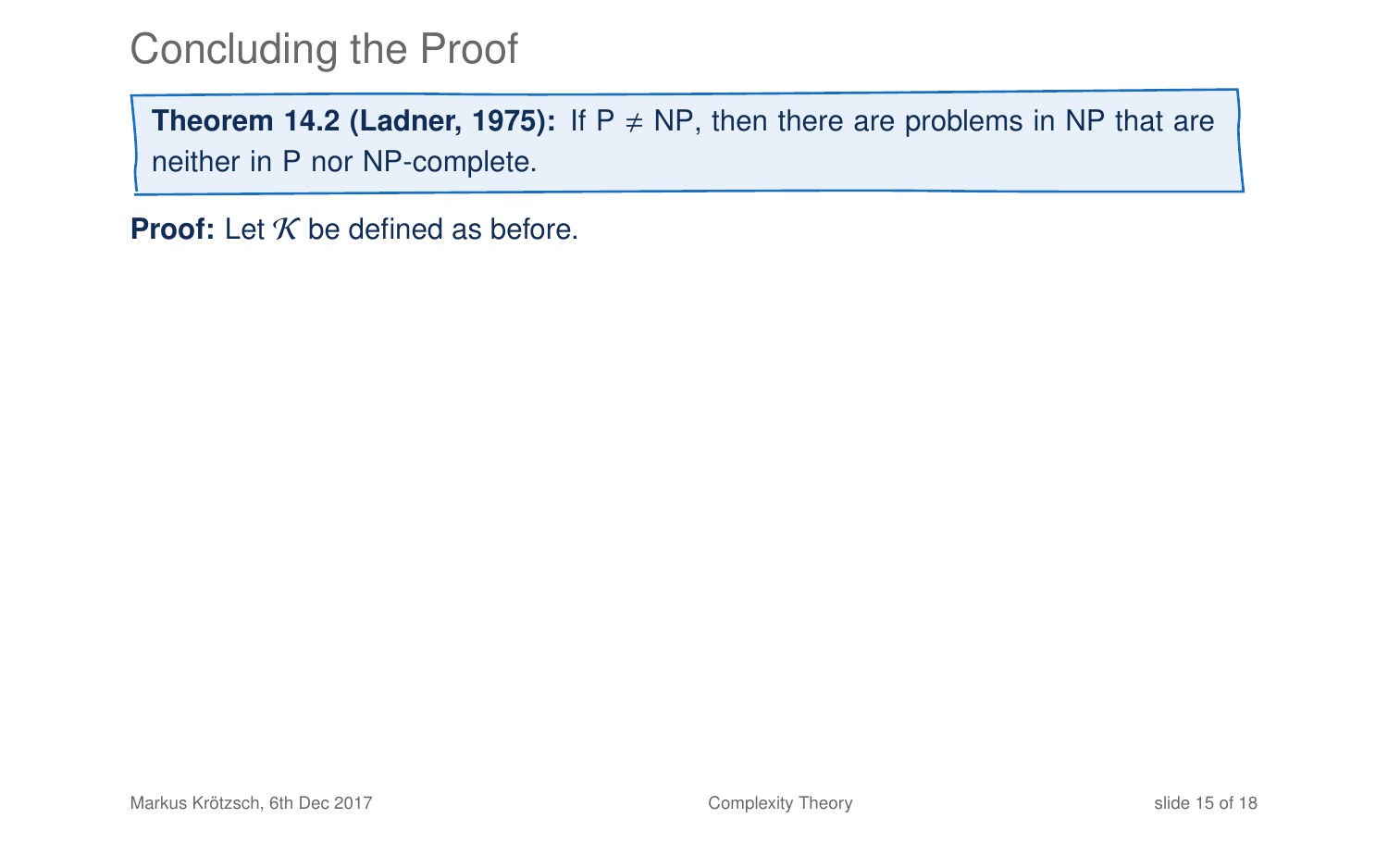**Theorem 14[.2](#page-7-0) (Ladner, 1975):** If  $P \neq NP$ , then there are problems in NP that are neither in P nor NP-complete.

**Proof:** Let  $K$  be defined as before.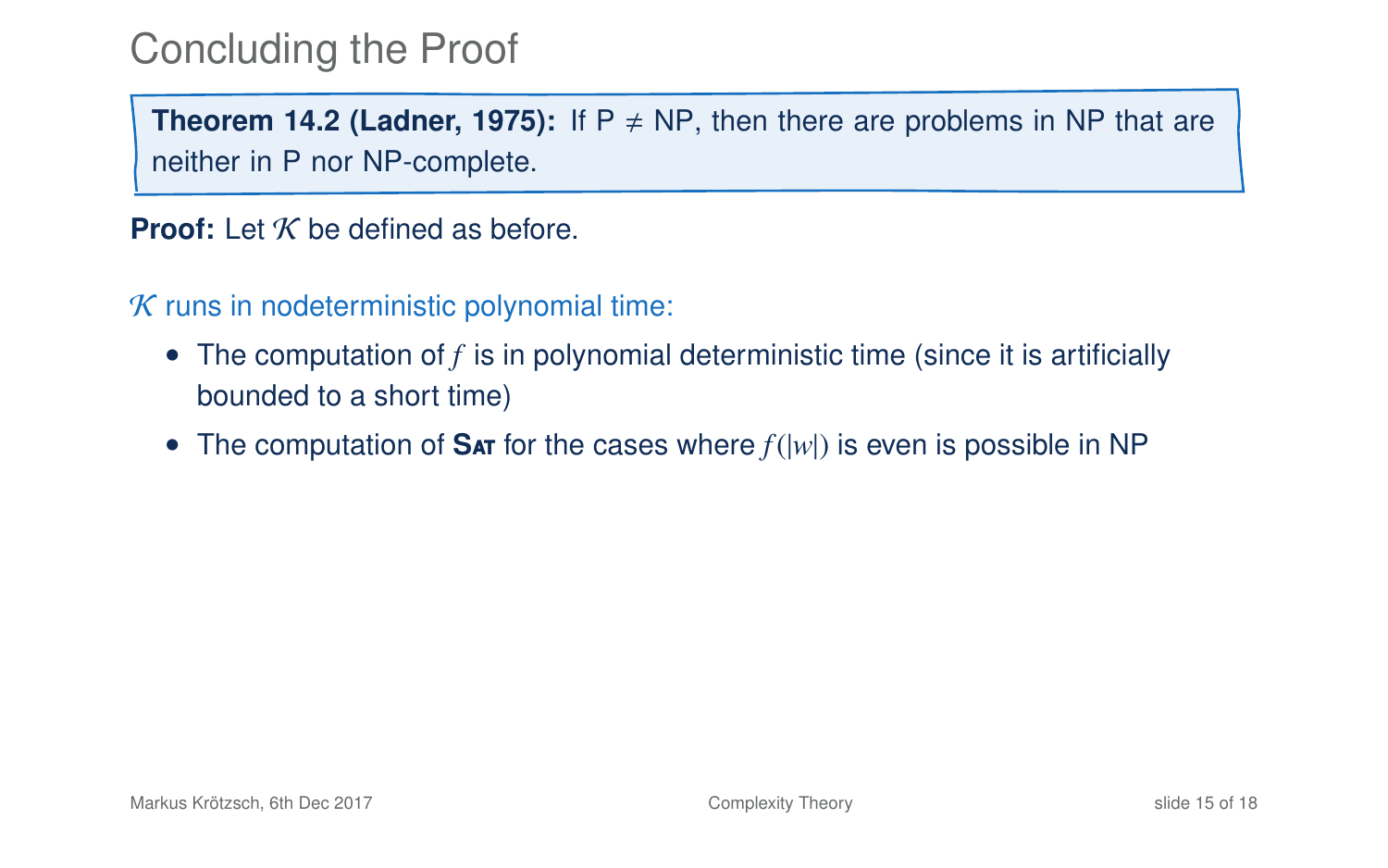**Theorem 14[.2](#page-7-0) (Ladner, 1975):** If  $P \neq NP$ , then there are problems in NP that are neither in P nor NP-complete.

**Proof:** Let K be defined as before

 $K$  runs in nodeterministic polynomial time:

- The computation of f is in polynomial deterministic time (since it is artificially bounded to a short time)
- The computation of **S**at for the cases where *f*(|*w*|) is even is possible in NP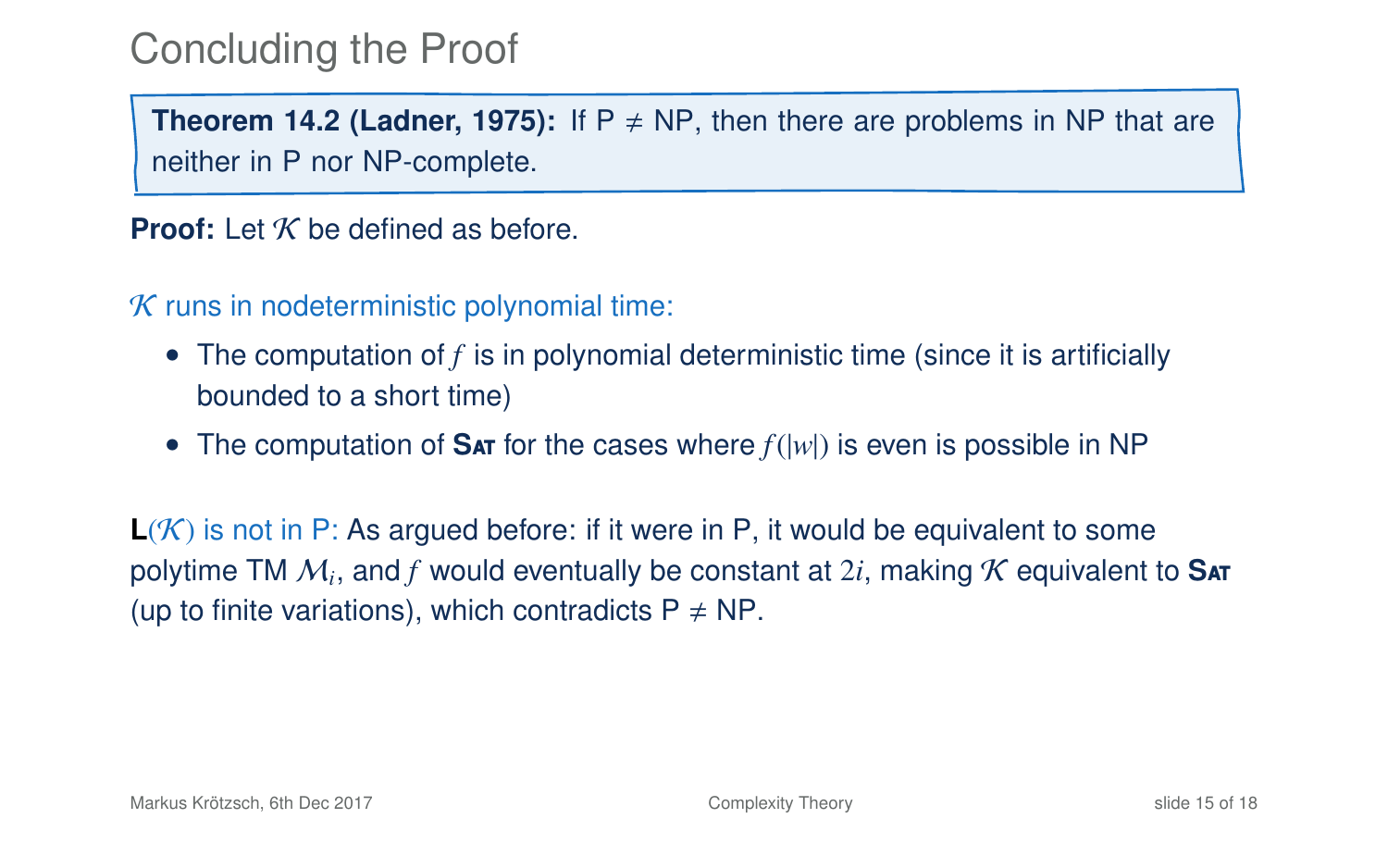**Theorem 14[.2](#page-7-0) (Ladner, 1975):** If  $P \neq NP$ , then there are problems in NP that are neither in P nor NP-complete.

**Proof:** Let  $K$  be defined as before.

 $K$  runs in nodeterministic polynomial time:

- The computation of *f* is in polynomial deterministic time (since it is artificially bounded to a short time)
- The computation of **S**at for the cases where *f*(|*w*|) is even is possible in NP

**L**(K) is not in P: As argued before: if it were in P, it would be equivalent to some polytime TM M*<sup>i</sup>* , and *f* would eventually be constant at 2*i*, making K equivalent to **S**at (up to finite variations), which contradicts  $P \neq NP$ .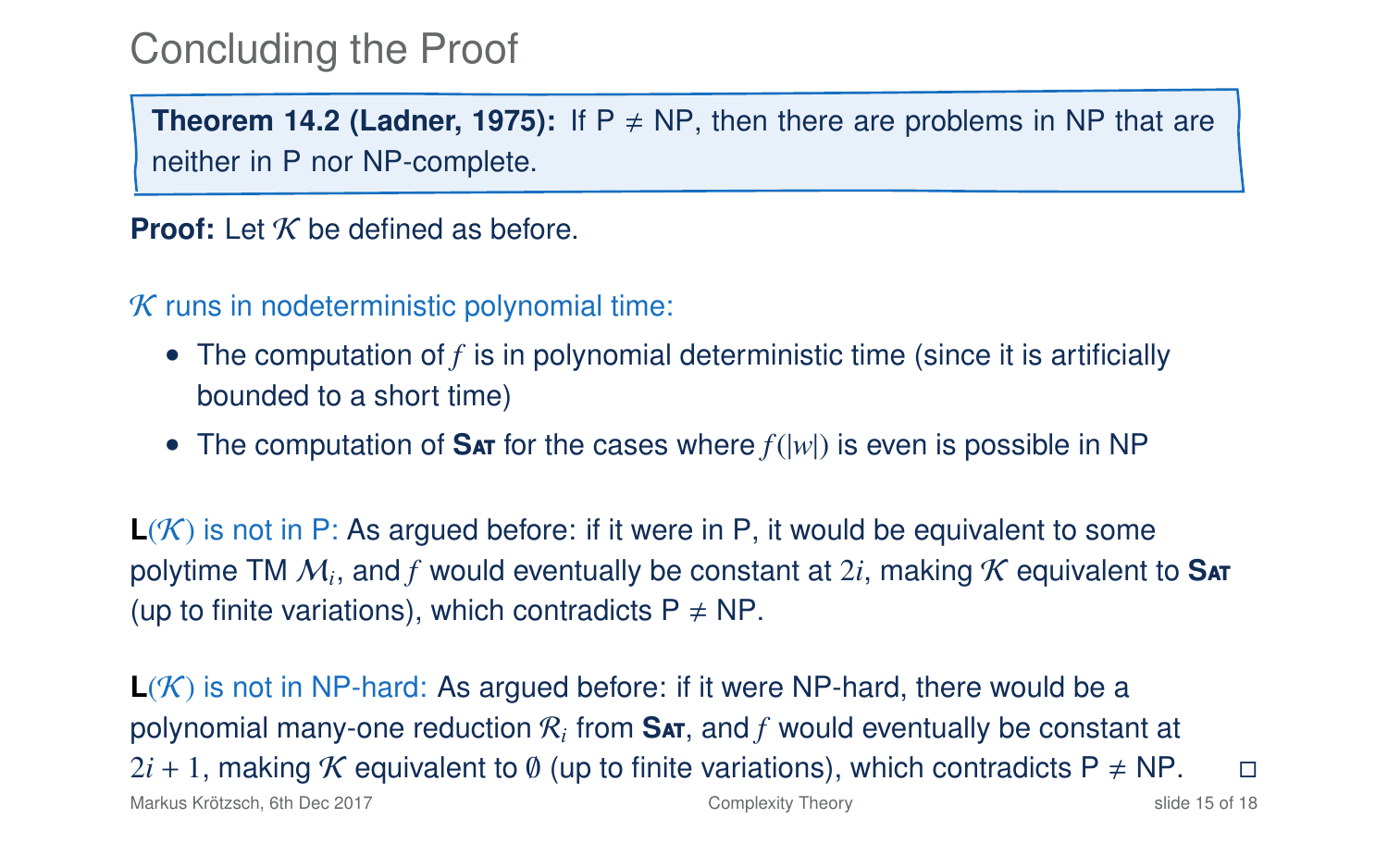**Theorem 14[.2](#page-7-0) (Ladner, 1975):** If  $P \neq NP$ , then there are problems in NP that are neither in P nor NP-complete.

**Proof:** Let K be defined as before

 $K$  runs in nodeterministic polynomial time:

- The computation of f is in polynomial deterministic time (since it is artificially bounded to a short time)
- The computation of **S**at for the cases where *f*(|*w*|) is even is possible in NP

**L**(K) is not in P: As argued before: if it were in P, it would be equivalent to some polytime TM M*<sup>i</sup>* , and *f* would eventually be constant at 2*i*, making K equivalent to **S**at (up to finite variations), which contradicts  $P \neq NP$ .

 $L(K)$  is not in NP-hard: As argued before: if it were NP-hard, there would be a polynomial many-one reduction  $\mathcal{R}_i$  from  $\mathbf{S}$ ar, and  $f$  would eventually be constant at  $2*i* + 1$ , making K equivalent to Ø (up to finite variations), which contradicts P ≠ NP.  $\Box$ Markus Krötzsch, 6th Dec 2017 **[Complexity Theory](#page-0-0)** Complexity Theory **Slide 15 of 18** slide 15 of 18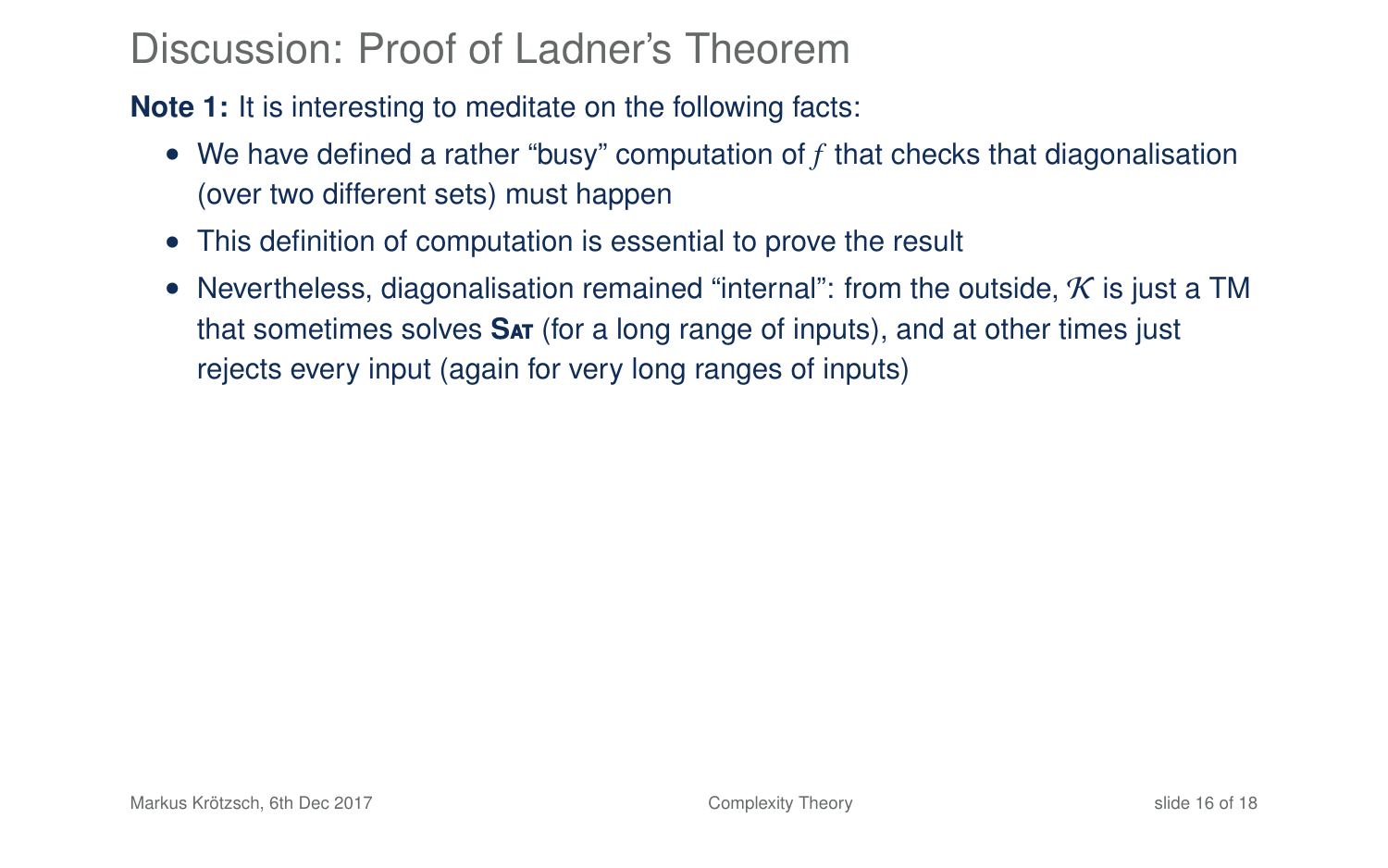**Note 1:** It is interesting to meditate on the following facts:

- We have defined a rather "busy" computation of *f* that checks that diagonalisation (over two different sets) must happen
- This definition of computation is essential to prove the result
- Nevertheless, diagonalisation remained "internal": from the outside,  $K$  is just a TM that sometimes solves **S**at (for a long range of inputs), and at other times just rejects every input (again for very long ranges of inputs)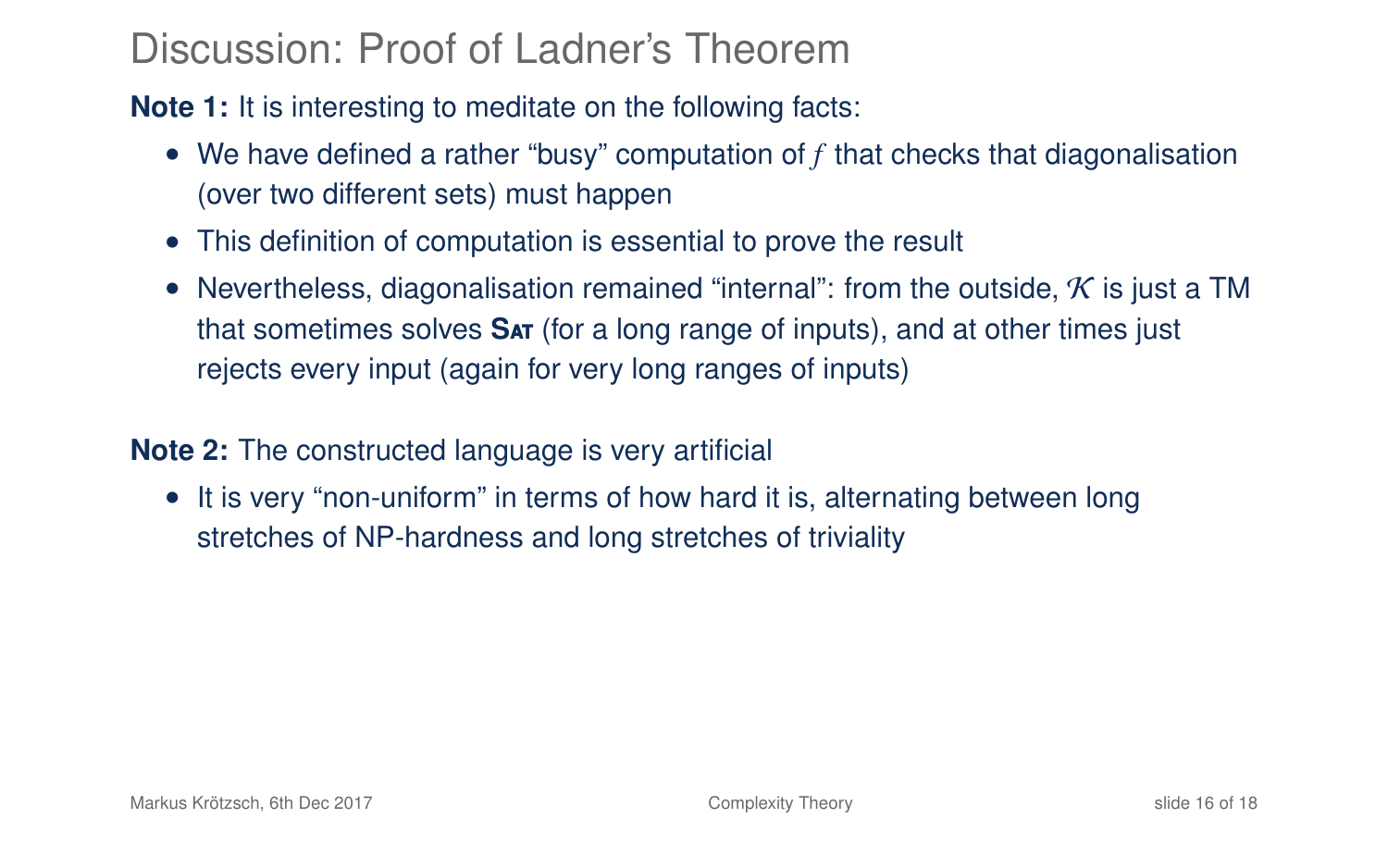**Note 1:** It is interesting to meditate on the following facts:

- We have defined a rather "busy" computation of *f* that checks that diagonalisation (over two different sets) must happen
- This definition of computation is essential to prove the result
- Nevertheless, diagonalisation remained "internal": from the outside,  $K$  is just a TM that sometimes solves **S**at (for a long range of inputs), and at other times just rejects every input (again for very long ranges of inputs)

#### **Note 2:** The constructed language is very artificial

• It is very "non-uniform" in terms of how hard it is, alternating between long stretches of NP-hardness and long stretches of triviality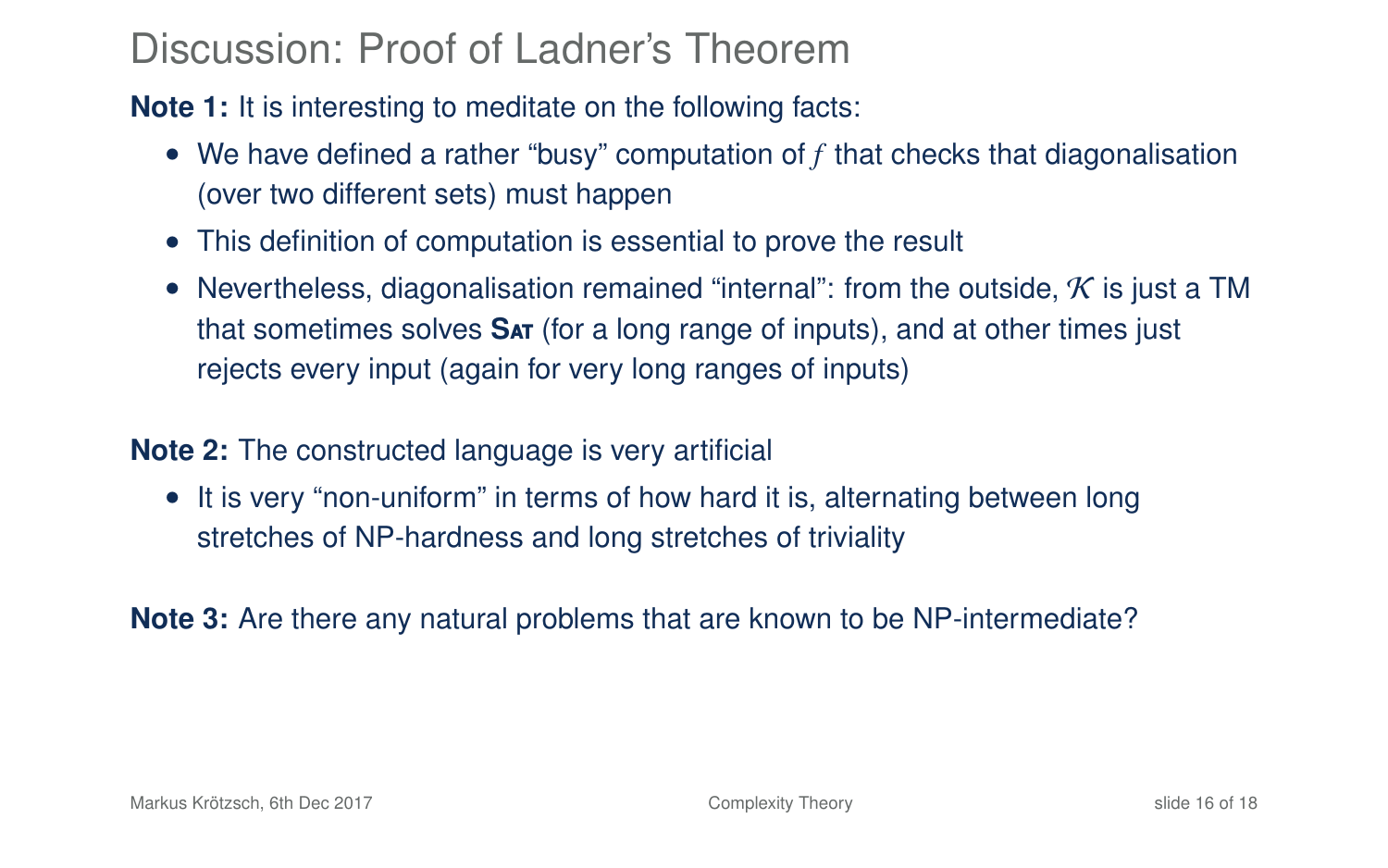**Note 1:** It is interesting to meditate on the following facts:

- We have defined a rather "busy" computation of *f* that checks that diagonalisation (over two different sets) must happen
- This definition of computation is essential to prove the result
- Nevertheless, diagonalisation remained "internal": from the outside,  $K$  is just a TM that sometimes solves **S**at (for a long range of inputs), and at other times just rejects every input (again for very long ranges of inputs)

### **Note 2:** The constructed language is very artificial

• It is very "non-uniform" in terms of how hard it is, alternating between long stretches of NP-hardness and long stretches of triviality

**Note 3:** Are there any natural problems that are known to be NP-intermediate?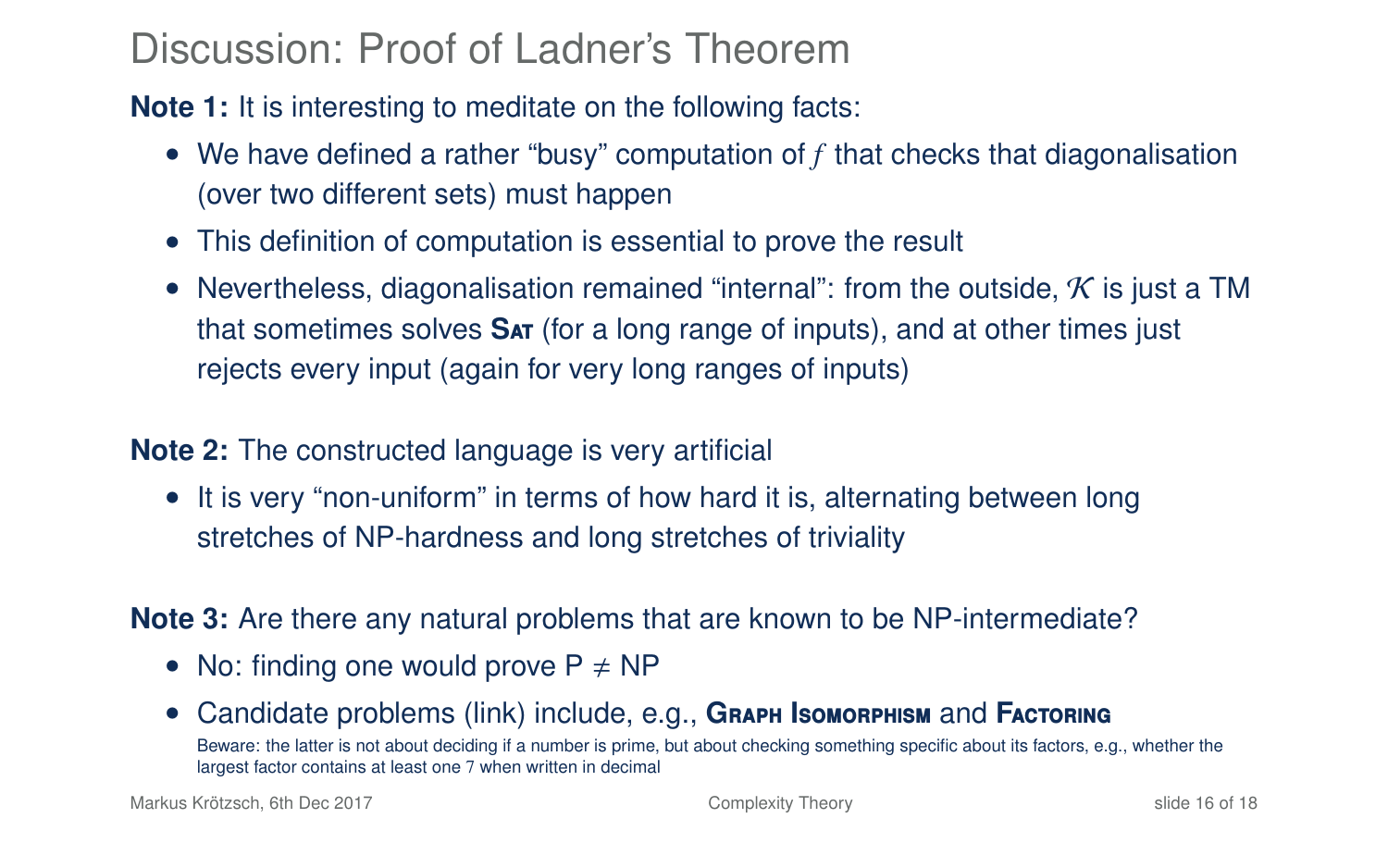**Note 1:** It is interesting to meditate on the following facts:

- We have defined a rather "busy" computation of *f* that checks that diagonalisation (over two different sets) must happen
- This definition of computation is essential to prove the result
- Nevertheless, diagonalisation remained "internal": from the outside,  $\cal K$  is just a TM that sometimes solves **S**at (for a long range of inputs), and at other times just rejects every input (again for very long ranges of inputs)

#### **Note 2:** The constructed language is very artificial

• It is very "non-uniform" in terms of how hard it is, alternating between long stretches of NP-hardness and long stretches of triviality

#### **Note 3:** Are there any natural problems that are known to be NP-intermediate?

- No: finding one would prove  $P \neq NP$
- [Candidate problems \(link\)](https://cstheory.stackexchange.com/a/237/17577) include, e.g., **G**raph **I**somorphism and **F**actoring Beware: the latter is not about deciding if a number is prime, but about checking something specific about its factors, e.g., whether the largest factor contains at least one 7 when written in decimal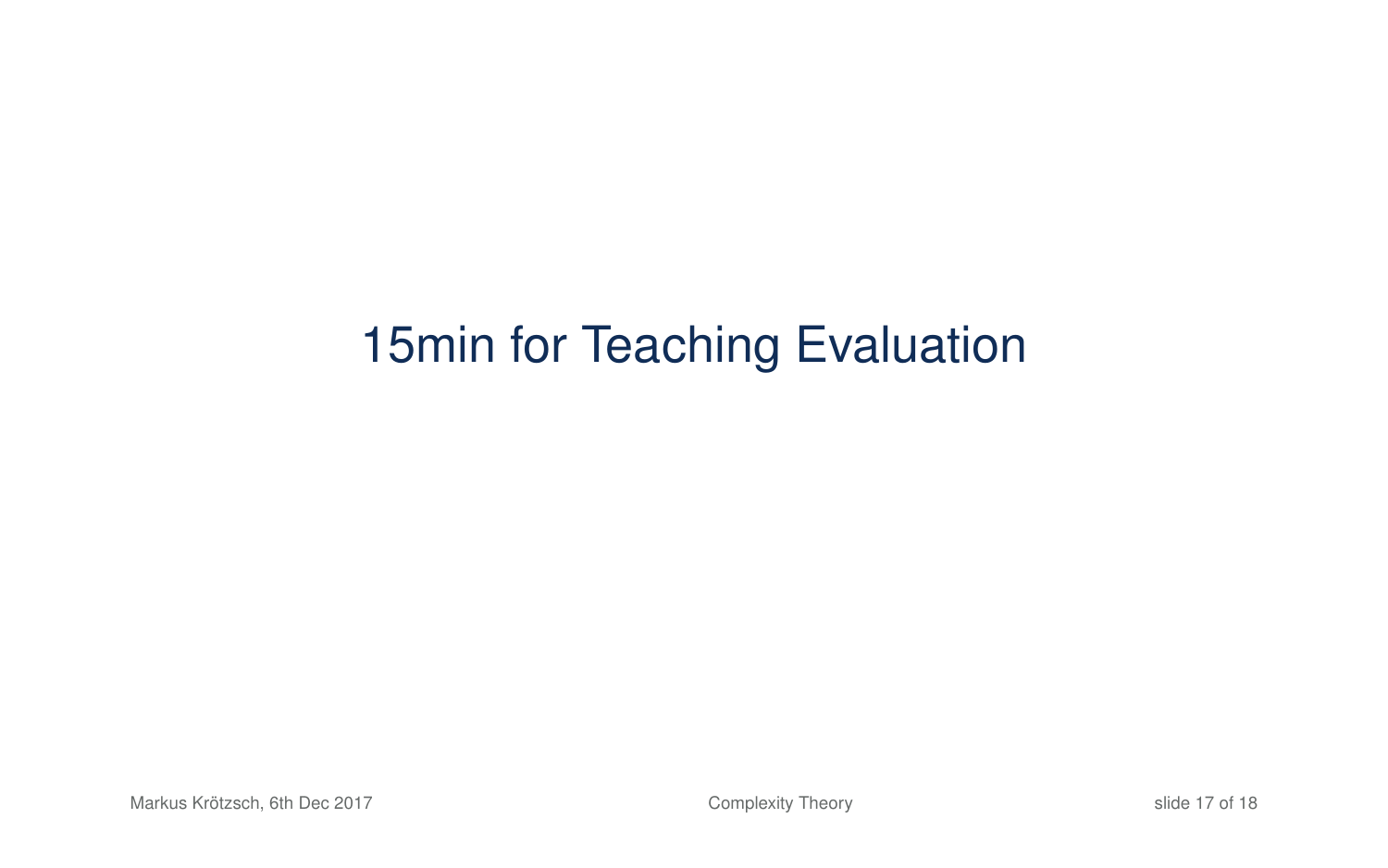# 15min for Teaching Evaluation